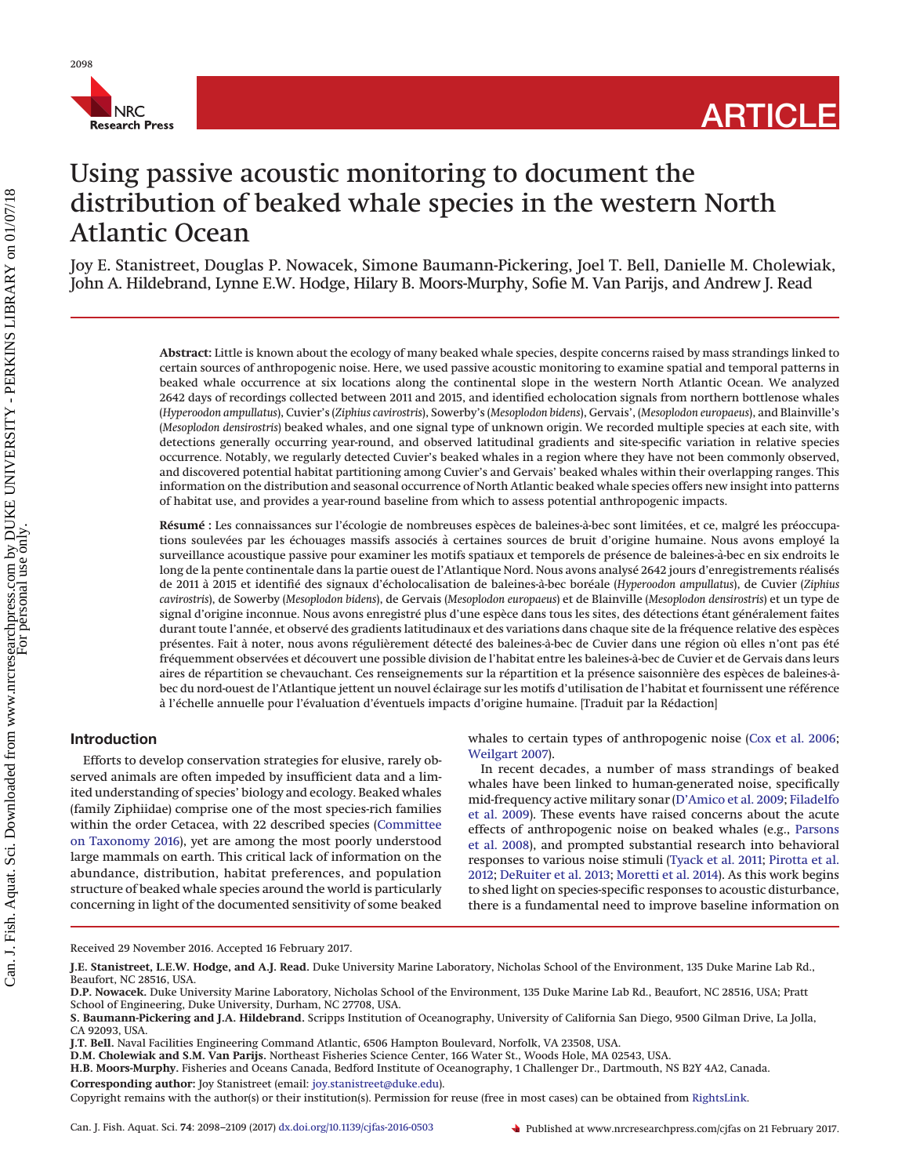

# Using passive acoustic monitoring to document the distribution of beaked whale species in the western North Atlantic Ocean

Joy E. Stanistreet, Douglas P. Nowacek, Simone Baumann-Pickering, Joel T. Bell, Danielle M. Cholewiak, John A. Hildebrand, Lynne E.W. Hodge, Hilary B. Moors-Murphy, Sofie M. Van Parijs, and Andrew J. Read

> **Abstract:** Little is known about the ecology of many beaked whale species, despite concerns raised by mass strandings linked to certain sources of anthropogenic noise. Here, we used passive acoustic monitoring to examine spatial and temporal patterns in beaked whale occurrence at six locations along the continental slope in the western North Atlantic Ocean. We analyzed 2642 days of recordings collected between 2011 and 2015, and identified echolocation signals from northern bottlenose whales (*Hyperoodon ampullatus*), Cuvier's (*Ziphius cavirostris*), Sowerby's (*Mesoplodon bidens*), Gervais', (*Mesoplodon europaeus*), and Blainville's (*Mesoplodon densirostris*) beaked whales, and one signal type of unknown origin. We recorded multiple species at each site, with detections generally occurring year-round, and observed latitudinal gradients and site-specific variation in relative species occurrence. Notably, we regularly detected Cuvier's beaked whales in a region where they have not been commonly observed, and discovered potential habitat partitioning among Cuvier's and Gervais' beaked whales within their overlapping ranges. This information on the distribution and seasonal occurrence of North Atlantic beaked whale species offers new insight into patterns of habitat use, and provides a year-round baseline from which to assess potential anthropogenic impacts.

> **Résumé :** Les connaissances sur l'écologie de nombreuses espèces de baleines-a`-bec sont limitées, et ce, malgré les préoccupations soulevées par les échouages massifs associés a` certaines sources de bruit d'origine humaine. Nous avons employé la surveillance acoustique passive pour examiner les motifs spatiaux et temporels de présence de baleines-a`-bec en six endroits le long de la pente continentale dans la partie ouest de l'Atlantique Nord. Nous avons analysé 2642 jours d'enregistrements réalisés de 2011 a` 2015 et identifié des signaux d'écholocalisation de baleines-a`-bec boréale (*Hyperoodon ampullatus*), de Cuvier (*Ziphius cavirostris*), de Sowerby (*Mesoplodon bidens*), de Gervais (*Mesoplodon europaeus*) et de Blainville (*Mesoplodon densirostris*) et un type de signal d'origine inconnue. Nous avons enregistré plus d'une espèce dans tous les sites, des détections étant généralement faites durant toute l'année, et observé des gradients latitudinaux et des variations dans chaque site de la fréquence relative des espèces présentes. Fait à noter, nous avons régulièrement détecté des baleines-à-bec de Cuvier dans une région où elles n'ont pas été fréquemment observées et découvert une possible division de l'habitat entre les baleines-a`-bec de Cuvier et de Gervais dans leurs aires de répartition se chevauchant. Ces renseignements sur la répartition et la présence saisonnière des espèces de baleines-àbec du nord-ouest de l'Atlantique jettent un nouvel éclairage sur les motifs d'utilisation de l'habitat et fournissent une référence a` l'échelle annuelle pour l'évaluation d'éventuels impacts d'origine humaine. [Traduit par la Rédaction]

# **Introduction**

Efforts to develop conservation strategies for elusive, rarely observed animals are often impeded by insufficient data and a limited understanding of species' biology and ecology. Beaked whales (family Ziphiidae) comprise one of the most species-rich families within the order Cetacea, with 22 described species [\(Committee](#page-10-0) [on Taxonomy 2016\)](#page-10-0), yet are among the most poorly understood large mammals on earth. This critical lack of information on the abundance, distribution, habitat preferences, and population structure of beaked whale species around the world is particularly concerning in light of the documented sensitivity of some beaked whales to certain types of anthropogenic noise [\(Cox et al. 2006;](#page-10-1) [Weilgart 2007\)](#page-11-0).

In recent decades, a number of mass strandings of beaked whales have been linked to human-generated noise, specifically mid-frequency active military sonar [\(D'Amico et al. 2009;](#page-10-2) [Filadelfo](#page-10-3) [et al. 2009\)](#page-10-3). These events have raised concerns about the acute effects of anthropogenic noise on beaked whales (e.g., [Parsons](#page-10-4) [et al. 2008\)](#page-10-4), and prompted substantial research into behavioral responses to various noise stimuli [\(Tyack et al. 2011;](#page-11-1) [Pirotta et al.](#page-10-5) [2012;](#page-10-5) [DeRuiter et al. 2013;](#page-10-6) [Moretti et al. 2014\)](#page-10-7). As this work begins to shed light on species-specific responses to acoustic disturbance, there is a fundamental need to improve baseline information on

Received 29 November 2016. Accepted 16 February 2017.

**J.E. Stanistreet, L.E.W. Hodge, and A.J. Read.** Duke University Marine Laboratory, Nicholas School of the Environment, 135 Duke Marine Lab Rd., Beaufort, NC 28516, USA.

**D.P. Nowacek.** Duke University Marine Laboratory, Nicholas School of the Environment, 135 Duke Marine Lab Rd., Beaufort, NC 28516, USA; Pratt School of Engineering, Duke University, Durham, NC 27708, USA.

**S. Baumann-Pickering and J.A. Hildebrand.** Scripps Institution of Oceanography, University of California San Diego, 9500 Gilman Drive, La Jolla, CA 92093, USA.

**J.T. Bell.** Naval Facilities Engineering Command Atlantic, 6506 Hampton Boulevard, Norfolk, VA 23508, USA.

**D.M. Cholewiak and S.M. Van Parijs.** Northeast Fisheries Science Center, 166 Water St., Woods Hole, MA 02543, USA.

**H.B. Moors-Murphy.** Fisheries and Oceans Canada, Bedford Institute of Oceanography, 1 Challenger Dr., Dartmouth, NS B2Y 4A2, Canada. **Corresponding author:** Joy Stanistreet (email: [joy.stanistreet@duke.edu\)](mailto:joy.stanistreet@duke.edu).

Copyright remains with the author(s) or their institution(s). Permission for reuse (free in most cases) can be obtained from [RightsLink.](http://www.nrcresearchpress.com/page/authors/services/reprints)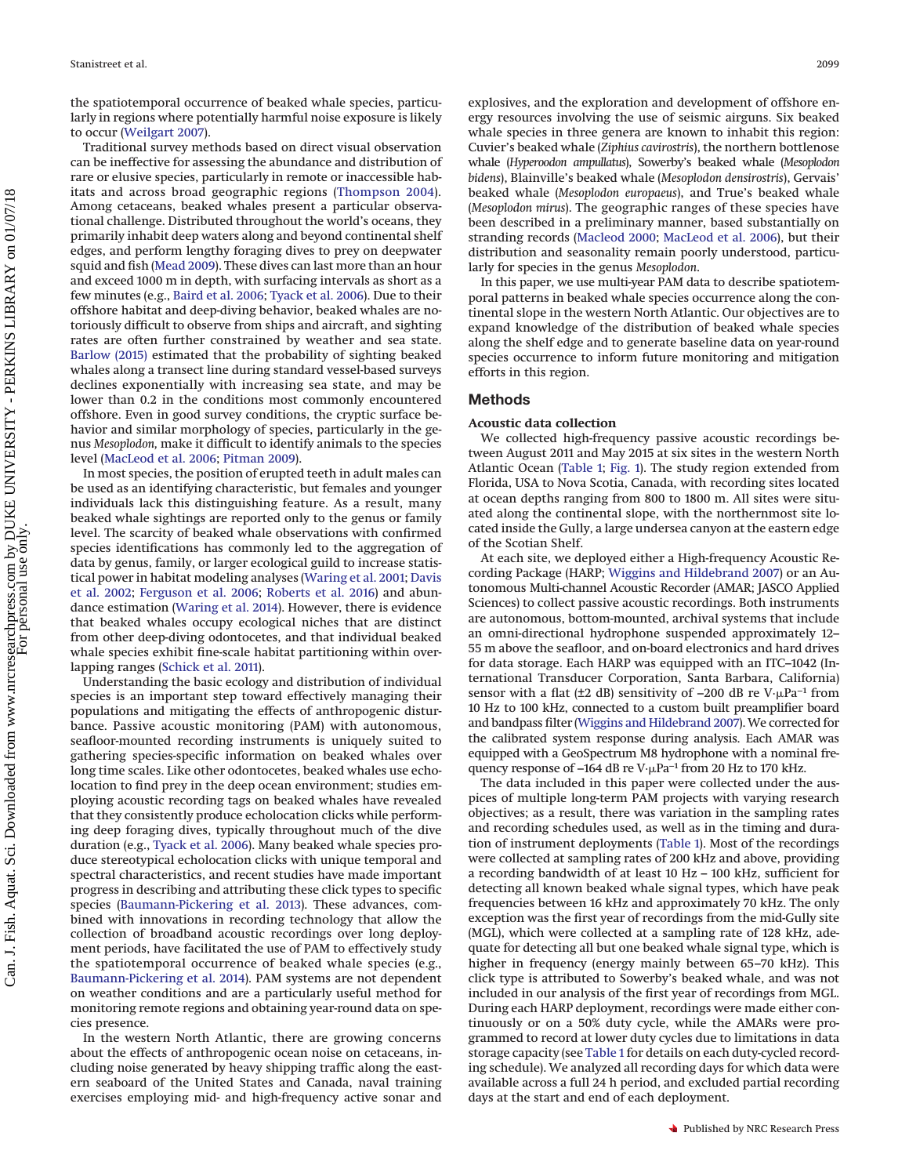the spatiotemporal occurrence of beaked whale species, particularly in regions where potentially harmful noise exposure is likely to occur [\(Weilgart 2007\)](#page-11-0).

Traditional survey methods based on direct visual observation can be ineffective for assessing the abundance and distribution of rare or elusive species, particularly in remote or inaccessible habitats and across broad geographic regions [\(Thompson 2004\)](#page-11-2). Among cetaceans, beaked whales present a particular observational challenge. Distributed throughout the world's oceans, they primarily inhabit deep waters along and beyond continental shelf edges, and perform lengthy foraging dives to prey on deepwater squid and fish [\(Mead 2009\)](#page-10-8). These dives can last more than an hour and exceed 1000 m in depth, with surfacing intervals as short as a few minutes (e.g., [Baird et al. 2006;](#page-10-9) [Tyack et al. 2006\)](#page-11-3). Due to their offshore habitat and deep-diving behavior, beaked whales are notoriously difficult to observe from ships and aircraft, and sighting rates are often further constrained by weather and sea state. [Barlow \(2015\)](#page-10-10) estimated that the probability of sighting beaked whales along a transect line during standard vessel-based surveys declines exponentially with increasing sea state, and may be lower than 0.2 in the conditions most commonly encountered offshore. Even in good survey conditions, the cryptic surface behavior and similar morphology of species, particularly in the genus *Mesoplodon,* make it difficult to identify animals to the species level [\(MacLeod et al. 2006;](#page-10-11) [Pitman 2009\)](#page-10-12).

In most species, the position of erupted teeth in adult males can be used as an identifying characteristic, but females and younger individuals lack this distinguishing feature. As a result, many beaked whale sightings are reported only to the genus or family level. The scarcity of beaked whale observations with confirmed species identifications has commonly led to the aggregation of data by genus, family, or larger ecological guild to increase statistical power in habitat modeling analyses [\(Waring et al. 2001;](#page-11-4) [Davis](#page-10-13) [et al. 2002;](#page-10-13) [Ferguson et al. 2006;](#page-10-14) [Roberts et al. 2016\)](#page-10-15) and abundance estimation [\(Waring et al. 2014\)](#page-11-5). However, there is evidence that beaked whales occupy ecological niches that are distinct from other deep-diving odontocetes, and that individual beaked whale species exhibit fine-scale habitat partitioning within overlapping ranges [\(Schick et al. 2011\)](#page-11-6).

Understanding the basic ecology and distribution of individual species is an important step toward effectively managing their populations and mitigating the effects of anthropogenic disturbance. Passive acoustic monitoring (PAM) with autonomous, seafloor-mounted recording instruments is uniquely suited to gathering species-specific information on beaked whales over long time scales. Like other odontocetes, beaked whales use echolocation to find prey in the deep ocean environment; studies employing acoustic recording tags on beaked whales have revealed that they consistently produce echolocation clicks while performing deep foraging dives, typically throughout much of the dive duration (e.g., [Tyack et al. 2006\)](#page-11-3). Many beaked whale species produce stereotypical echolocation clicks with unique temporal and spectral characteristics, and recent studies have made important progress in describing and attributing these click types to specific species [\(Baumann-Pickering et al. 2013\)](#page-10-16). These advances, combined with innovations in recording technology that allow the collection of broadband acoustic recordings over long deployment periods, have facilitated the use of PAM to effectively study the spatiotemporal occurrence of beaked whale species (e.g., [Baumann-Pickering et al. 2014\)](#page-10-17). PAM systems are not dependent on weather conditions and are a particularly useful method for monitoring remote regions and obtaining year-round data on species presence.

In the western North Atlantic, there are growing concerns about the effects of anthropogenic ocean noise on cetaceans, including noise generated by heavy shipping traffic along the eastern seaboard of the United States and Canada, naval training exercises employing mid- and high-frequency active sonar and explosives, and the exploration and development of offshore energy resources involving the use of seismic airguns. Six beaked whale species in three genera are known to inhabit this region: Cuvier's beaked whale (*Ziphius cavirostris*), the northern bottlenose whale (*Hyperoodon ampullatus*), Sowerby's beaked whale (*Mesoplodon bidens*), Blainville's beaked whale (*Mesoplodon densirostris*), Gervais' beaked whale (*Mesoplodon europaeus*), and True's beaked whale (*Mesoplodon mirus*). The geographic ranges of these species have been described in a preliminary manner, based substantially on stranding records [\(Macleod 2000;](#page-10-18) [MacLeod et al. 2006\)](#page-10-11), but their distribution and seasonality remain poorly understood, particularly for species in the genus *Mesoplodon*.

In this paper, we use multi-year PAM data to describe spatiotemporal patterns in beaked whale species occurrence along the continental slope in the western North Atlantic. Our objectives are to expand knowledge of the distribution of beaked whale species along the shelf edge and to generate baseline data on year-round species occurrence to inform future monitoring and mitigation efforts in this region.

# **Methods**

## **Acoustic data collection**

We collected high-frequency passive acoustic recordings between August 2011 and May 2015 at six sites in the western North Atlantic Ocean [\(Table 1;](#page-2-0) [Fig. 1\)](#page-2-1). The study region extended from Florida, USA to Nova Scotia, Canada, with recording sites located at ocean depths ranging from 800 to 1800 m. All sites were situated along the continental slope, with the northernmost site located inside the Gully, a large undersea canyon at the eastern edge of the Scotian Shelf.

At each site, we deployed either a High-frequency Acoustic Recording Package (HARP; [Wiggins and Hildebrand 2007\)](#page-11-7) or an Autonomous Multi-channel Acoustic Recorder (AMAR; JASCO Applied Sciences) to collect passive acoustic recordings. Both instruments are autonomous, bottom-mounted, archival systems that include an omni-directional hydrophone suspended approximately 12– 55 m above the seafloor, and on-board electronics and hard drives for data storage. Each HARP was equipped with an ITC–1042 (International Transducer Corporation, Santa Barbara, California) sensor with a flat (±2 dB) sensitivity of -200 dB re V·µPa<sup>-1</sup> from 10 Hz to 100 kHz, connected to a custom built preamplifier board and bandpass filter [\(Wiggins and Hildebrand 2007\)](#page-11-7). We corrected for the calibrated system response during analysis. Each AMAR was equipped with a GeoSpectrum M8 hydrophone with a nominal frequency response of –164 dB re V·µPa<sup>-1</sup> from 20 Hz to 170 kHz.

The data included in this paper were collected under the auspices of multiple long-term PAM projects with varying research objectives; as a result, there was variation in the sampling rates and recording schedules used, as well as in the timing and duration of instrument deployments [\(Table 1\)](#page-2-0). Most of the recordings were collected at sampling rates of 200 kHz and above, providing a recording bandwidth of at least 10 Hz – 100 kHz, sufficient for detecting all known beaked whale signal types, which have peak frequencies between 16 kHz and approximately 70 kHz. The only exception was the first year of recordings from the mid-Gully site (MGL), which were collected at a sampling rate of 128 kHz, adequate for detecting all but one beaked whale signal type, which is higher in frequency (energy mainly between 65–70 kHz). This click type is attributed to Sowerby's beaked whale, and was not included in our analysis of the first year of recordings from MGL. During each HARP deployment, recordings were made either continuously or on a 50% duty cycle, while the AMARs were programmed to record at lower duty cycles due to limitations in data storage capacity (see [Table 1](#page-2-0) for details on each duty-cycled recording schedule). We analyzed all recording days for which data were available across a full 24 h period, and excluded partial recording days at the start and end of each deployment.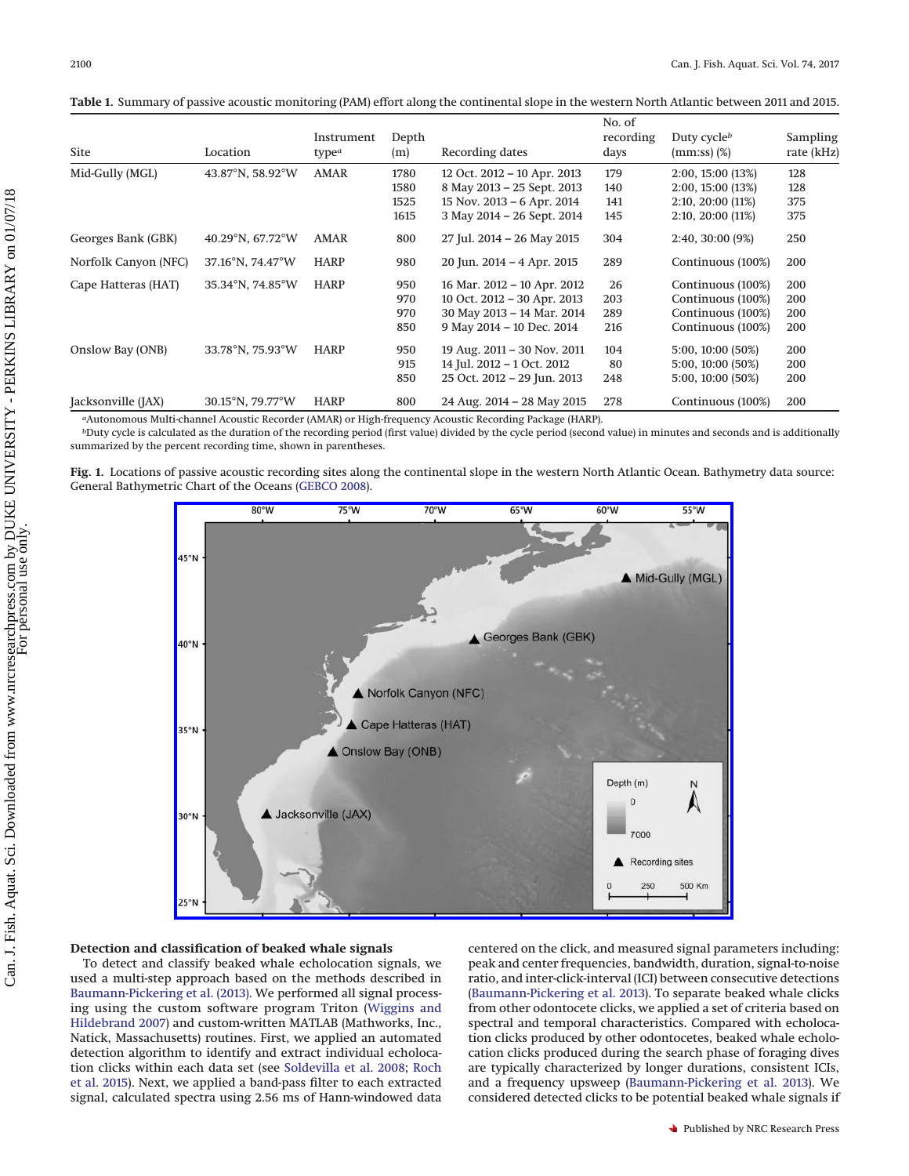<span id="page-2-0"></span>**Table 1.** Summary of passive acoustic monitoring (PAM) effort along the continental slope in the western North Atlantic between 2011 and 2015.

| <b>Site</b>          | Location                   | Instrument<br>type <sup>a</sup> | Depth<br>(m) | Recording dates             | No. of<br>recording<br>days | Duty cycle $^b$<br>$(mm:ss)$ $(\%)$ | Sampling<br>rate (kHz) |
|----------------------|----------------------------|---------------------------------|--------------|-----------------------------|-----------------------------|-------------------------------------|------------------------|
| Mid-Gully (MGL)      | $43.87^{\circ}$ N, 58.92°W | AMAR                            | 1780         | 12 Oct. 2012 - 10 Apr. 2013 | 179                         | 2:00, 15:00(13%)                    | 128                    |
|                      |                            |                                 | 1580         | 8 May 2013 - 25 Sept. 2013  | 140                         | 2:00, 15:00 (13%)                   | 128                    |
|                      |                            |                                 | 1525         | 15 Nov. 2013 – 6 Apr. 2014  | 141                         | 2:10, 20:00(11%)                    | 375                    |
|                      |                            |                                 | 1615         | 3 May 2014 - 26 Sept. 2014  | 145                         | 2:10, 20:00 (11%)                   | 375                    |
| Georges Bank (GBK)   | 40.29°N, $67.72^{\circ}$ W | AMAR                            | 800          | 27 Jul. 2014 - 26 May 2015  | 304                         | $2:40, 30:00(9\%)$                  | 250                    |
| Norfolk Canyon (NFC) | 37.16°N, 74.47°W           | <b>HARP</b>                     | 980          | 20 Jun. 2014 - 4 Apr. 2015  | 289                         | Continuous (100%)                   | 200                    |
| Cape Hatteras (HAT)  | 35.34°N, 74.85°W           | <b>HARP</b>                     | 950          | 16 Mar. 2012 - 10 Apr. 2012 | 26                          | Continuous (100%)                   | 200                    |
|                      |                            |                                 | 970          | 10 Oct. 2012 - 30 Apr. 2013 | 203                         | Continuous (100%)                   | 200                    |
|                      |                            |                                 | 970          | 30 May 2013 - 14 Mar. 2014  | 289                         | Continuous (100%)                   | 200                    |
|                      |                            |                                 | 850          | 9 May 2014 - 10 Dec. 2014   | 216                         | Continuous (100%)                   | 200                    |
| Onslow Bay (ONB)     | 33.78°N, 75.93°W           | <b>HARP</b>                     | 950          | 19 Aug. 2011 - 30 Nov. 2011 | 104                         | 5:00, 10:00 (50%)                   | 200                    |
|                      |                            |                                 | 915          | 14 Jul. 2012 - 1 Oct. 2012  | 80                          | 5:00, 10:00 (50%)                   | 200                    |
|                      |                            |                                 | 850          | 25 Oct. 2012 - 29 Jun. 2013 | 248                         | 5:00, 10:00 (50%)                   | 200                    |
| Jacksonville (JAX)   | 30.15°N, 79.77°W           | <b>HARP</b>                     | 800          | 24 Aug. 2014 - 28 May 2015  | 278                         | Continuous (100%)                   | 200                    |

*a*Autonomous Multi-channel Acoustic Recorder (AMAR) or High-frequency Acoustic Recording Package (HARP).

*b*Duty cycle is calculated as the duration of the recording period (first value) divided by the cycle period (second value) in minutes and seconds and is additionally summarized by the percent recording time, shown in parentheses.

<span id="page-2-1"></span>**Fig. 1.** Locations of passive acoustic recording sites along the continental slope in the western North Atlantic Ocean. Bathymetry data source: General Bathymetric Chart of the Oceans [\(GEBCO 2008\)](#page-10-19).



## **Detection and classification of beaked whale signals**

To detect and classify beaked whale echolocation signals, we used a multi-step approach based on the methods described in [Baumann-Pickering et al. \(2013\).](#page-10-16) We performed all signal processing using the custom software program Triton [\(Wiggins and](#page-11-7) [Hildebrand 2007\)](#page-11-7) and custom-written MATLAB (Mathworks, Inc., Natick, Massachusetts) routines. First, we applied an automated detection algorithm to identify and extract individual echolocation clicks within each data set (see [Soldevilla et al. 2008;](#page-11-8) [Roch](#page-11-9) [et al. 2015\)](#page-11-9). Next, we applied a band-pass filter to each extracted signal, calculated spectra using 2.56 ms of Hann-windowed data centered on the click, and measured signal parameters including: peak and center frequencies, bandwidth, duration, signal-to-noise ratio, and inter-click-interval (ICI) between consecutive detections [\(Baumann-Pickering et al. 2013\)](#page-10-16). To separate beaked whale clicks from other odontocete clicks, we applied a set of criteria based on spectral and temporal characteristics. Compared with echolocation clicks produced by other odontocetes, beaked whale echolocation clicks produced during the search phase of foraging dives are typically characterized by longer durations, consistent ICIs, and a frequency upsweep [\(Baumann-Pickering et al. 2013\)](#page-10-16). We considered detected clicks to be potential beaked whale signals if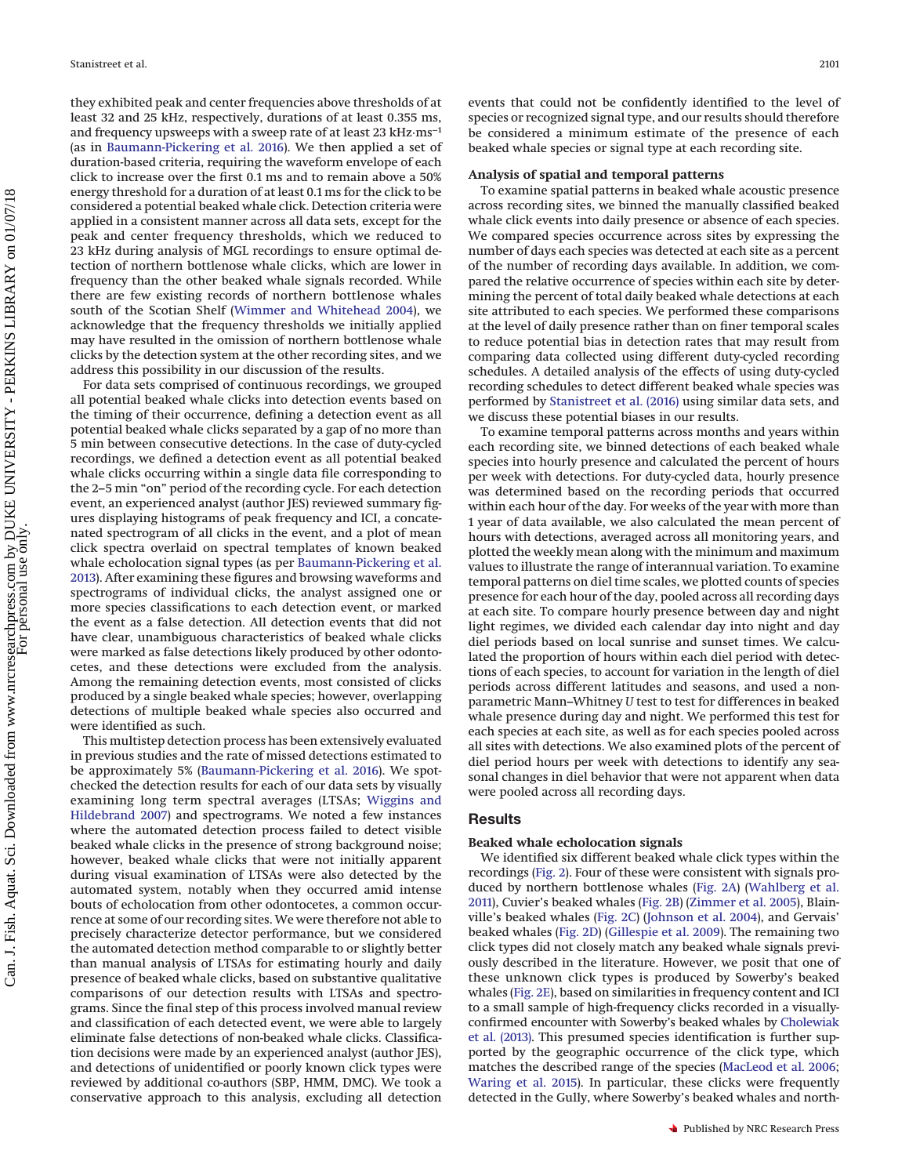they exhibited peak and center frequencies above thresholds of at least 32 and 25 kHz, respectively, durations of at least 0.355 ms, and frequency upsweeps with a sweep rate of at least 23 kHz·ms−1 (as in [Baumann-Pickering et al. 2016\)](#page-10-20). We then applied a set of duration-based criteria, requiring the waveform envelope of each click to increase over the first 0.1 ms and to remain above a 50% energy threshold for a duration of at least 0.1 ms for the click to be considered a potential beaked whale click. Detection criteria were applied in a consistent manner across all data sets, except for the peak and center frequency thresholds, which we reduced to 23 kHz during analysis of MGL recordings to ensure optimal detection of northern bottlenose whale clicks, which are lower in frequency than the other beaked whale signals recorded. While there are few existing records of northern bottlenose whales south of the Scotian Shelf [\(Wimmer and Whitehead 2004\)](#page-11-10), we acknowledge that the frequency thresholds we initially applied may have resulted in the omission of northern bottlenose whale clicks by the detection system at the other recording sites, and we address this possibility in our discussion of the results.

For data sets comprised of continuous recordings, we grouped all potential beaked whale clicks into detection events based on the timing of their occurrence, defining a detection event as all potential beaked whale clicks separated by a gap of no more than 5 min between consecutive detections. In the case of duty-cycled recordings, we defined a detection event as all potential beaked whale clicks occurring within a single data file corresponding to the 2–5 min "on" period of the recording cycle. For each detection event, an experienced analyst (author JES) reviewed summary figures displaying histograms of peak frequency and ICI, a concatenated spectrogram of all clicks in the event, and a plot of mean click spectra overlaid on spectral templates of known beaked whale echolocation signal types (as per [Baumann-Pickering et al.](#page-10-16) [2013\)](#page-10-16). After examining these figures and browsing waveforms and spectrograms of individual clicks, the analyst assigned one or more species classifications to each detection event, or marked the event as a false detection. All detection events that did not have clear, unambiguous characteristics of beaked whale clicks were marked as false detections likely produced by other odontocetes, and these detections were excluded from the analysis. Among the remaining detection events, most consisted of clicks produced by a single beaked whale species; however, overlapping detections of multiple beaked whale species also occurred and were identified as such.

This multistep detection process has been extensively evaluated in previous studies and the rate of missed detections estimated to be approximately 5% [\(Baumann-Pickering et al. 2016\)](#page-10-20). We spotchecked the detection results for each of our data sets by visually examining long term spectral averages (LTSAs; [Wiggins and](#page-11-7) [Hildebrand 2007\)](#page-11-7) and spectrograms. We noted a few instances where the automated detection process failed to detect visible beaked whale clicks in the presence of strong background noise; however, beaked whale clicks that were not initially apparent during visual examination of LTSAs were also detected by the automated system, notably when they occurred amid intense bouts of echolocation from other odontocetes, a common occurrence at some of our recording sites. We were therefore not able to precisely characterize detector performance, but we considered the automated detection method comparable to or slightly better than manual analysis of LTSAs for estimating hourly and daily presence of beaked whale clicks, based on substantive qualitative comparisons of our detection results with LTSAs and spectrograms. Since the final step of this process involved manual review and classification of each detected event, we were able to largely eliminate false detections of non-beaked whale clicks. Classification decisions were made by an experienced analyst (author JES), and detections of unidentified or poorly known click types were reviewed by additional co-authors (SBP, HMM, DMC). We took a conservative approach to this analysis, excluding all detection events that could not be confidently identified to the level of species or recognized signal type, and our results should therefore be considered a minimum estimate of the presence of each beaked whale species or signal type at each recording site.

#### **Analysis of spatial and temporal patterns**

To examine spatial patterns in beaked whale acoustic presence across recording sites, we binned the manually classified beaked whale click events into daily presence or absence of each species. We compared species occurrence across sites by expressing the number of days each species was detected at each site as a percent of the number of recording days available. In addition, we compared the relative occurrence of species within each site by determining the percent of total daily beaked whale detections at each site attributed to each species. We performed these comparisons at the level of daily presence rather than on finer temporal scales to reduce potential bias in detection rates that may result from comparing data collected using different duty-cycled recording schedules. A detailed analysis of the effects of using duty-cycled recording schedules to detect different beaked whale species was performed by [Stanistreet et al. \(2016\)](#page-11-11) using similar data sets, and we discuss these potential biases in our results.

To examine temporal patterns across months and years within each recording site, we binned detections of each beaked whale species into hourly presence and calculated the percent of hours per week with detections. For duty-cycled data, hourly presence was determined based on the recording periods that occurred within each hour of the day. For weeks of the year with more than 1 year of data available, we also calculated the mean percent of hours with detections, averaged across all monitoring years, and plotted the weekly mean along with the minimum and maximum values to illustrate the range of interannual variation. To examine temporal patterns on diel time scales, we plotted counts of species presence for each hour of the day, pooled across all recording days at each site. To compare hourly presence between day and night light regimes, we divided each calendar day into night and day diel periods based on local sunrise and sunset times. We calculated the proportion of hours within each diel period with detections of each species, to account for variation in the length of diel periods across different latitudes and seasons, and used a nonparametric Mann–Whitney *U* test to test for differences in beaked whale presence during day and night. We performed this test for each species at each site, as well as for each species pooled across all sites with detections. We also examined plots of the percent of diel period hours per week with detections to identify any seasonal changes in diel behavior that were not apparent when data were pooled across all recording days.

# **Results**

#### **Beaked whale echolocation signals**

We identified six different beaked whale click types within the recordings [\(Fig. 2\)](#page-4-0). Four of these were consistent with signals produced by northern bottlenose whales [\(Fig. 2A\)](#page-4-0) [\(Wahlberg et al.](#page-11-12) [2011\)](#page-11-12), Cuvier's beaked whales [\(Fig. 2B\)](#page-4-0) [\(Zimmer et al. 2005\)](#page-11-13), Blainville's beaked whales [\(Fig. 2C\)](#page-4-0) [\(Johnson et al. 2004\)](#page-10-21), and Gervais' beaked whales [\(Fig. 2D\)](#page-4-0) [\(Gillespie et al. 2009\)](#page-10-22). The remaining two click types did not closely match any beaked whale signals previously described in the literature. However, we posit that one of these unknown click types is produced by Sowerby's beaked whales [\(Fig. 2E\)](#page-4-0), based on similarities in frequency content and ICI to a small sample of high-frequency clicks recorded in a visuallyconfirmed encounter with Sowerby's beaked whales by [Cholewiak](#page-10-23) [et al. \(2013\).](#page-10-23) This presumed species identification is further supported by the geographic occurrence of the click type, which matches the described range of the species [\(MacLeod et al. 2006;](#page-10-11) [Waring et al. 2015\)](#page-11-14). In particular, these clicks were frequently detected in the Gully, where Sowerby's beaked whales and north-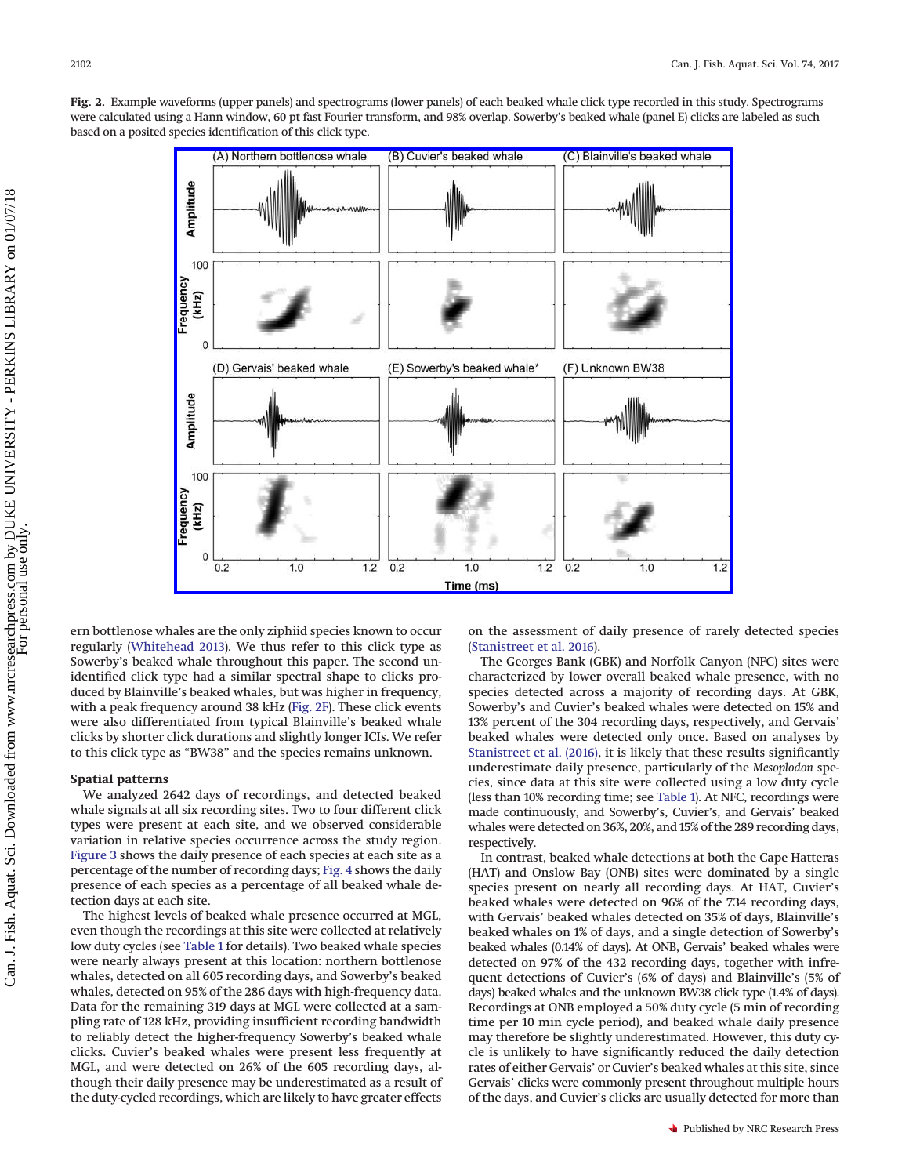<span id="page-4-0"></span>**Fig. 2.** Example waveforms (upper panels) and spectrograms (lower panels) of each beaked whale click type recorded in this study. Spectrograms were calculated using a Hann window, 60 pt fast Fourier transform, and 98% overlap. Sowerby's beaked whale (panel E) clicks are labeled as such based on a posited species identification of this click type.



ern bottlenose whales are the only ziphiid species known to occur regularly [\(Whitehead 2013\)](#page-11-15). We thus refer to this click type as Sowerby's beaked whale throughout this paper. The second unidentified click type had a similar spectral shape to clicks produced by Blainville's beaked whales, but was higher in frequency, with a peak frequency around 38 kHz [\(Fig. 2F\)](#page-4-0). These click events were also differentiated from typical Blainville's beaked whale clicks by shorter click durations and slightly longer ICIs. We refer to this click type as "BW38" and the species remains unknown.

# **Spatial patterns**

We analyzed 2642 days of recordings, and detected beaked whale signals at all six recording sites. Two to four different click types were present at each site, and we observed considerable variation in relative species occurrence across the study region. [Figure 3](#page-5-0) shows the daily presence of each species at each site as a percentage of the number of recording days; [Fig. 4](#page-5-1) shows the daily presence of each species as a percentage of all beaked whale detection days at each site.

The highest levels of beaked whale presence occurred at MGL, even though the recordings at this site were collected at relatively low duty cycles (see [Table 1](#page-2-0) for details). Two beaked whale species were nearly always present at this location: northern bottlenose whales, detected on all 605 recording days, and Sowerby's beaked whales, detected on 95% of the 286 days with high-frequency data. Data for the remaining 319 days at MGL were collected at a sampling rate of 128 kHz, providing insufficient recording bandwidth to reliably detect the higher-frequency Sowerby's beaked whale clicks. Cuvier's beaked whales were present less frequently at MGL, and were detected on 26% of the 605 recording days, although their daily presence may be underestimated as a result of the duty-cycled recordings, which are likely to have greater effects

on the assessment of daily presence of rarely detected species [\(Stanistreet et al. 2016\)](#page-11-11).

The Georges Bank (GBK) and Norfolk Canyon (NFC) sites were characterized by lower overall beaked whale presence, with no species detected across a majority of recording days. At GBK, Sowerby's and Cuvier's beaked whales were detected on 15% and 13% percent of the 304 recording days, respectively, and Gervais' beaked whales were detected only once. Based on analyses by [Stanistreet et al. \(2016\),](#page-11-11) it is likely that these results significantly underestimate daily presence, particularly of the *Mesoplodon* species, since data at this site were collected using a low duty cycle (less than 10% recording time; see [Table 1\)](#page-2-0). At NFC, recordings were made continuously, and Sowerby's, Cuvier's, and Gervais' beaked whales were detected on 36%, 20%, and 15% of the 289 recording days, respectively.

In contrast, beaked whale detections at both the Cape Hatteras (HAT) and Onslow Bay (ONB) sites were dominated by a single species present on nearly all recording days. At HAT, Cuvier's beaked whales were detected on 96% of the 734 recording days, with Gervais' beaked whales detected on 35% of days, Blainville's beaked whales on 1% of days, and a single detection of Sowerby's beaked whales (0.14% of days). At ONB, Gervais' beaked whales were detected on 97% of the 432 recording days, together with infrequent detections of Cuvier's (6% of days) and Blainville's (5% of days) beaked whales and the unknown BW38 click type (1.4% of days). Recordings at ONB employed a 50% duty cycle (5 min of recording time per 10 min cycle period), and beaked whale daily presence may therefore be slightly underestimated. However, this duty cycle is unlikely to have significantly reduced the daily detection rates of either Gervais' or Cuvier's beaked whales at this site, since Gervais' clicks were commonly present throughout multiple hours of the days, and Cuvier's clicks are usually detected for more than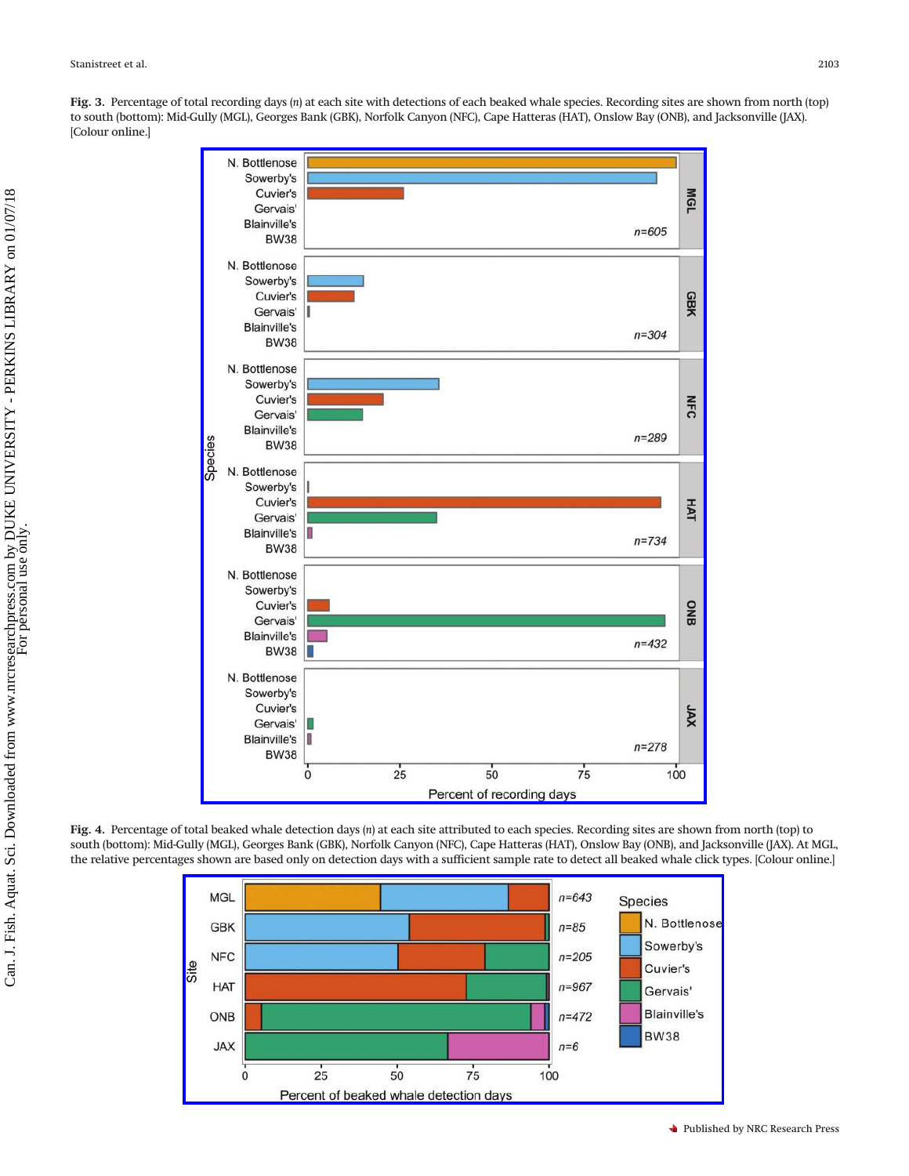N. Bottlenose Sowerby's **MGL** Cuvier's Gervais' **Blainville's**  $n = 605$ **BW38** N. Bottlenose Sowerby's GBK Cuvier's Gervais' **Blainville's**  $n = 304$ **BW38** N. Bottlenose Sowerby's Cuvier's **NFC** Gervais' **Blainville's**  $n = 289$ Species **BW38** N. Bottlenose Sowerby's Cuvier's **HAT** Gervais' **Blainville's**  $n = 734$ **BW38** N. Bottlenose Sowerby's **ONB** Cuvier's Gervais' **Blainville's**  $n = 432$ **BW38** N. Bottlenose Sowerby's Cuvier's XAL Gervais' **Blainville's** I  $n = 278$ **BW38**  $25$  $75$ 50 100  $\pmb{0}$ Percent of recording days

<span id="page-5-0"></span>**Fig. 3.** Percentage of total recording days (*n*) at each site with detections of each beaked whale species. Recording sites are shown from north (top) to south (bottom): Mid-Gully (MGL), Georges Bank (GBK), Norfolk Canyon (NFC), Cape Hatteras (HAT), Onslow Bay (ONB), and Jacksonville (JAX). [Colour online.]

<span id="page-5-1"></span>**Fig. 4.** Percentage of total beaked whale detection days (*n*) at each site attributed to each species. Recording sites are shown from north (top) to south (bottom): Mid-Gully (MGL), Georges Bank (GBK), Norfolk Canyon (NFC), Cape Hatteras (HAT), Onslow Bay (ONB), and Jacksonville (JAX). At MGL, the relative percentages shown are based only on detection days with a sufficient sample rate to detect all beaked whale click types. [Colour online.]

 $n = 643$ 

 $n = 85$ 

**Species** 

N. Bottlenose

**MGL** 

**GBK** 

**NFC** 

**HAT** 

ONB

**JAX** 

 $\bf{0}$ 

Site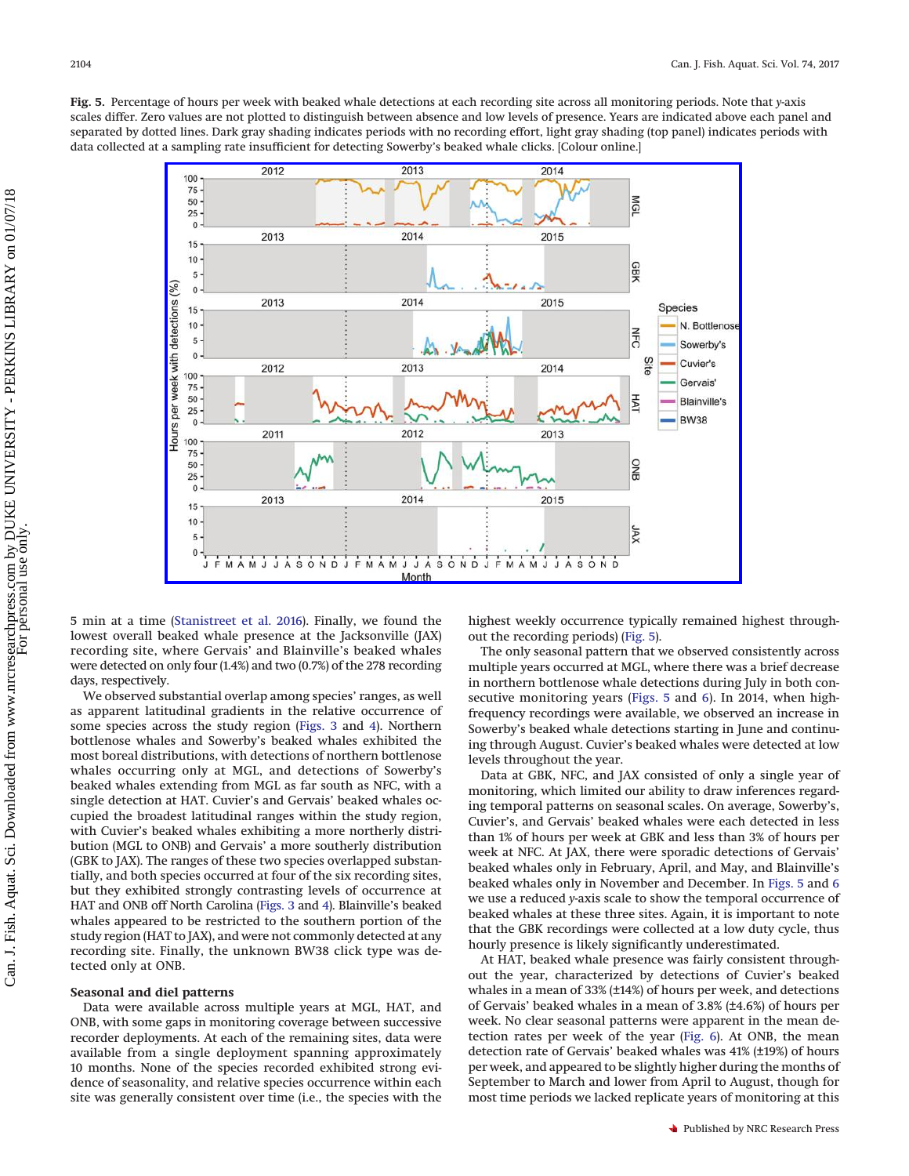<span id="page-6-0"></span>**Fig. 5.** Percentage of hours per week with beaked whale detections at each recording site across all monitoring periods. Note that *y*-axis scales differ. Zero values are not plotted to distinguish between absence and low levels of presence. Years are indicated above each panel and separated by dotted lines. Dark gray shading indicates periods with no recording effort, light gray shading (top panel) indicates periods with data collected at a sampling rate insufficient for detecting Sowerby's beaked whale clicks. [Colour online.]



5 min at a time [\(Stanistreet et al. 2016\)](#page-11-11). Finally, we found the lowest overall beaked whale presence at the Jacksonville (JAX) recording site, where Gervais' and Blainville's beaked whales were detected on only four (1.4%) and two (0.7%) of the 278 recording days, respectively.

We observed substantial overlap among species' ranges, as well as apparent latitudinal gradients in the relative occurrence of some species across the study region [\(Figs. 3](#page-5-0) and [4\)](#page-5-1). Northern bottlenose whales and Sowerby's beaked whales exhibited the most boreal distributions, with detections of northern bottlenose whales occurring only at MGL, and detections of Sowerby's beaked whales extending from MGL as far south as NFC, with a single detection at HAT. Cuvier's and Gervais' beaked whales occupied the broadest latitudinal ranges within the study region, with Cuvier's beaked whales exhibiting a more northerly distribution (MGL to ONB) and Gervais' a more southerly distribution (GBK to JAX). The ranges of these two species overlapped substantially, and both species occurred at four of the six recording sites, but they exhibited strongly contrasting levels of occurrence at HAT and ONB off North Carolina [\(Figs. 3](#page-5-0) and [4\)](#page-5-1). Blainville's beaked whales appeared to be restricted to the southern portion of the study region (HAT to JAX), and were not commonly detected at any recording site. Finally, the unknown BW38 click type was detected only at ONB.

#### **Seasonal and diel patterns**

Data were available across multiple years at MGL, HAT, and ONB, with some gaps in monitoring coverage between successive recorder deployments. At each of the remaining sites, data were available from a single deployment spanning approximately 10 months. None of the species recorded exhibited strong evidence of seasonality, and relative species occurrence within each site was generally consistent over time (i.e., the species with the highest weekly occurrence typically remained highest throughout the recording periods) [\(Fig. 5\)](#page-6-0).

The only seasonal pattern that we observed consistently across multiple years occurred at MGL, where there was a brief decrease in northern bottlenose whale detections during July in both consecutive monitoring years [\(Figs. 5](#page-6-0) and [6\)](#page-7-0). In 2014, when highfrequency recordings were available, we observed an increase in Sowerby's beaked whale detections starting in June and continuing through August. Cuvier's beaked whales were detected at low levels throughout the year.

Data at GBK, NFC, and JAX consisted of only a single year of monitoring, which limited our ability to draw inferences regarding temporal patterns on seasonal scales. On average, Sowerby's, Cuvier's, and Gervais' beaked whales were each detected in less than 1% of hours per week at GBK and less than 3% of hours per week at NFC. At JAX, there were sporadic detections of Gervais' beaked whales only in February, April, and May, and Blainville's beaked whales only in November and December. In [Figs. 5](#page-6-0) and [6](#page-7-0) we use a reduced *y*-axis scale to show the temporal occurrence of beaked whales at these three sites. Again, it is important to note that the GBK recordings were collected at a low duty cycle, thus hourly presence is likely significantly underestimated.

At HAT, beaked whale presence was fairly consistent throughout the year, characterized by detections of Cuvier's beaked whales in a mean of 33% (±14%) of hours per week, and detections of Gervais' beaked whales in a mean of 3.8% (±4.6%) of hours per week. No clear seasonal patterns were apparent in the mean detection rates per week of the year [\(Fig. 6\)](#page-7-0). At ONB, the mean detection rate of Gervais' beaked whales was 41% (±19%) of hours per week, and appeared to be slightly higher during the months of September to March and lower from April to August, though for most time periods we lacked replicate years of monitoring at this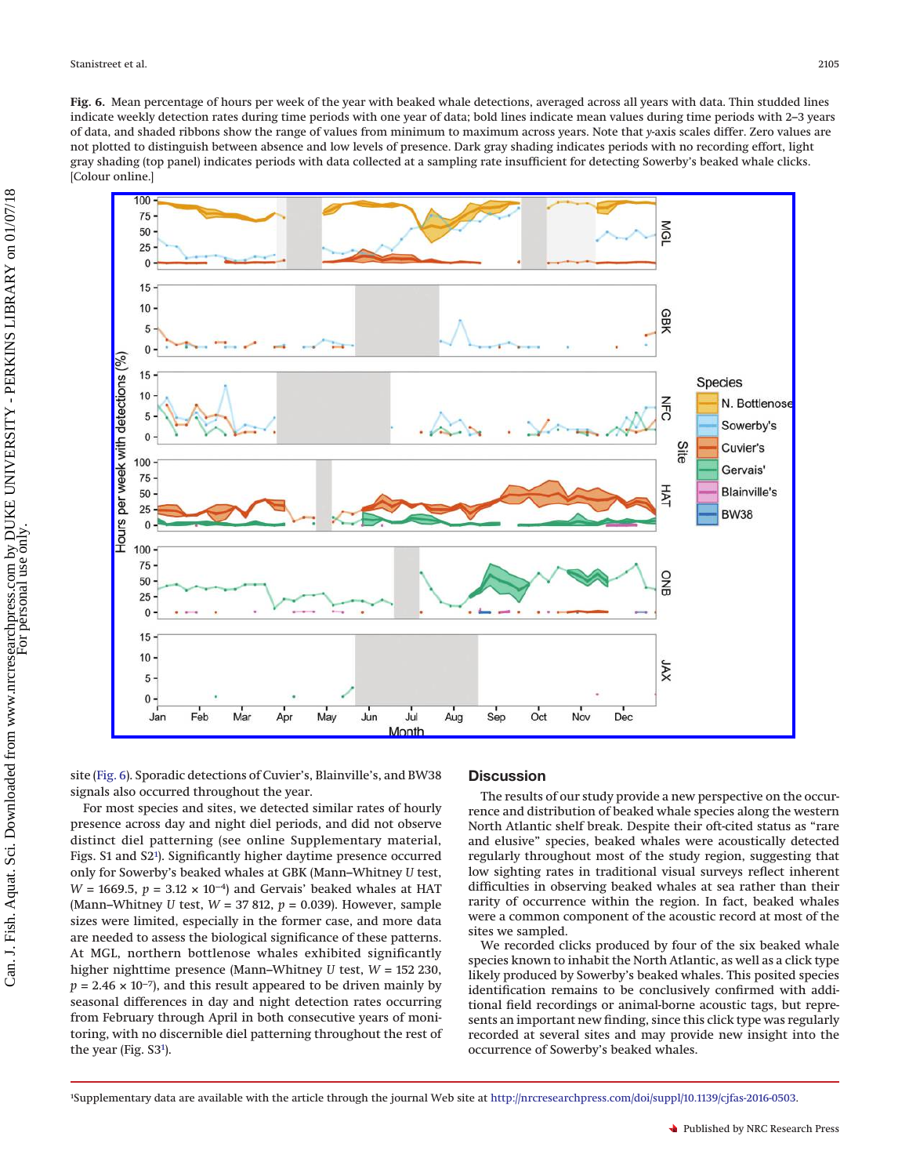<span id="page-7-0"></span>**Fig. 6.** Mean percentage of hours per week of the year with beaked whale detections, averaged across all years with data. Thin studded lines indicate weekly detection rates during time periods with one year of data; bold lines indicate mean values during time periods with 2–3 years of data, and shaded ribbons show the range of values from minimum to maximum across years. Note that *y*-axis scales differ. Zero values are not plotted to distinguish between absence and low levels of presence. Dark gray shading indicates periods with no recording effort, light gray shading (top panel) indicates periods with data collected at a sampling rate insufficient for detecting Sowerby's beaked whale clicks. [Colour online.]



site [\(Fig. 6\)](#page-7-0). Sporadic detections of Cuvier's, Blainville's, and BW38 signals also occurred throughout the year.

For most species and sites, we detected similar rates of hourly presence across day and night diel periods, and did not observe distinct diel patterning (see online Supplementary material, Figs. S1 and S2<sup>1</sup>). Significantly higher daytime presence occurred only for Sowerby's beaked whales at GBK (Mann–Whitney *U* test, *W* = 1669.5, *p* = 3.12 × 10<sup>-4</sup>) and Gervais' beaked whales at HAT (Mann–Whitney *U* test, *W* = 37 812, *p* = 0.039). However, sample sizes were limited, especially in the former case, and more data are needed to assess the biological significance of these patterns. At MGL, northern bottlenose whales exhibited significantly higher nighttime presence (Mann–Whitney *U* test, *W* = 152 230,  $p = 2.46 \times 10^{-7}$ , and this result appeared to be driven mainly by seasonal differences in day and night detection rates occurring from February through April in both consecutive years of monitoring, with no discernible diel patterning throughout the rest of the year (Fig. S[31](#page-7-1)).

# **Discussion**

The results of our study provide a new perspective on the occurrence and distribution of beaked whale species along the western North Atlantic shelf break. Despite their oft-cited status as "rare and elusive" species, beaked whales were acoustically detected regularly throughout most of the study region, suggesting that low sighting rates in traditional visual surveys reflect inherent difficulties in observing beaked whales at sea rather than their rarity of occurrence within the region. In fact, beaked whales were a common component of the acoustic record at most of the sites we sampled.

We recorded clicks produced by four of the six beaked whale species known to inhabit the North Atlantic, as well as a click type likely produced by Sowerby's beaked whales. This posited species identification remains to be conclusively confirmed with additional field recordings or animal-borne acoustic tags, but represents an important new finding, since this click type was regularly recorded at several sites and may provide new insight into the occurrence of Sowerby's beaked whales.

<span id="page-7-1"></span><sup>1</sup> Supplementary data are available with the article through the journal Web site at [http://nrcresearchpress.com/doi/suppl/10.1139/cjfas-2016-0503.](http://nrcresearchpress.com/doi/suppl/10.1139/cjfas-2016-0503)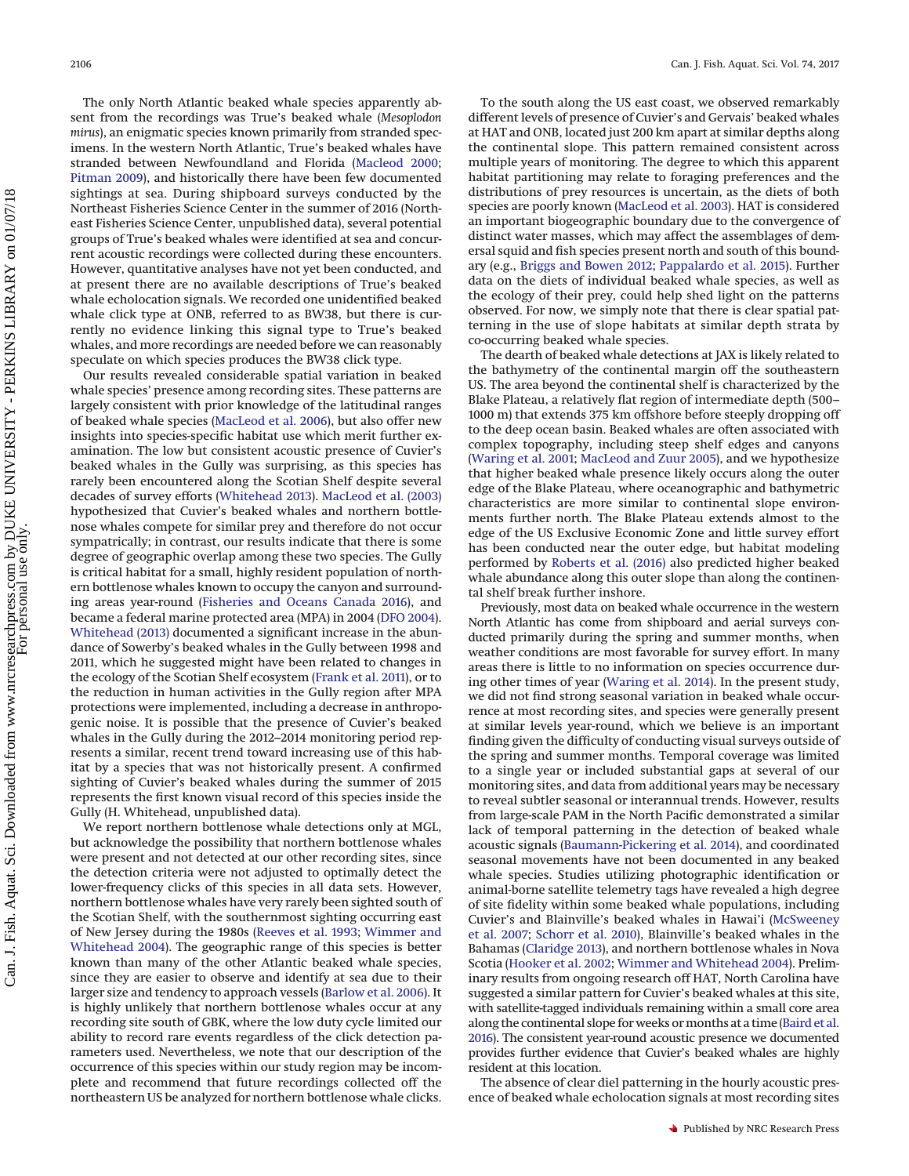The only North Atlantic beaked whale species apparently absent from the recordings was True's beaked whale (*Mesoplodon mirus*), an enigmatic species known primarily from stranded specimens. In the western North Atlantic, True's beaked whales have stranded between Newfoundland and Florida [\(Macleod 2000;](#page-10-18) [Pitman 2009\)](#page-10-12), and historically there have been few documented sightings at sea. During shipboard surveys conducted by the Northeast Fisheries Science Center in the summer of 2016 (Northeast Fisheries Science Center, unpublished data), several potential groups of True's beaked whales were identified at sea and concurrent acoustic recordings were collected during these encounters. However, quantitative analyses have not yet been conducted, and at present there are no available descriptions of True's beaked whale echolocation signals. We recorded one unidentified beaked whale click type at ONB, referred to as BW38, but there is currently no evidence linking this signal type to True's beaked whales, and more recordings are needed before we can reasonably speculate on which species produces the BW38 click type.

Our results revealed considerable spatial variation in beaked whale species' presence among recording sites. These patterns are largely consistent with prior knowledge of the latitudinal ranges of beaked whale species [\(MacLeod et al. 2006\)](#page-10-11), but also offer new insights into species-specific habitat use which merit further examination. The low but consistent acoustic presence of Cuvier's beaked whales in the Gully was surprising, as this species has rarely been encountered along the Scotian Shelf despite several decades of survey efforts [\(Whitehead 2013\)](#page-11-15). [MacLeod et al. \(2003\)](#page-10-24) hypothesized that Cuvier's beaked whales and northern bottlenose whales compete for similar prey and therefore do not occur sympatrically; in contrast, our results indicate that there is some degree of geographic overlap among these two species. The Gully is critical habitat for a small, highly resident population of northern bottlenose whales known to occupy the canyon and surrounding areas year-round [\(Fisheries and Oceans Canada 2016\)](#page-10-25), and became a federal marine protected area (MPA) in 2004 [\(DFO 2004\)](#page-10-26). [Whitehead \(2013\)](#page-11-15) documented a significant increase in the abundance of Sowerby's beaked whales in the Gully between 1998 and 2011, which he suggested might have been related to changes in the ecology of the Scotian Shelf ecosystem [\(Frank et al. 2011\)](#page-10-27), or to the reduction in human activities in the Gully region after MPA protections were implemented, including a decrease in anthropogenic noise. It is possible that the presence of Cuvier's beaked whales in the Gully during the 2012–2014 monitoring period represents a similar, recent trend toward increasing use of this habitat by a species that was not historically present. A confirmed sighting of Cuvier's beaked whales during the summer of 2015 represents the first known visual record of this species inside the Gully (H. Whitehead, unpublished data).

We report northern bottlenose whale detections only at MGL, but acknowledge the possibility that northern bottlenose whales were present and not detected at our other recording sites, since the detection criteria were not adjusted to optimally detect the lower-frequency clicks of this species in all data sets. However, northern bottlenose whales have very rarely been sighted south of the Scotian Shelf, with the southernmost sighting occurring east of New Jersey during the 1980s [\(Reeves et al. 1993;](#page-10-28) [Wimmer and](#page-11-10) [Whitehead 2004\)](#page-11-10). The geographic range of this species is better known than many of the other Atlantic beaked whale species, since they are easier to observe and identify at sea due to their larger size and tendency to approach vessels [\(Barlow et al. 2006\)](#page-10-29). It is highly unlikely that northern bottlenose whales occur at any recording site south of GBK, where the low duty cycle limited our ability to record rare events regardless of the click detection parameters used. Nevertheless, we note that our description of the occurrence of this species within our study region may be incomplete and recommend that future recordings collected off the northeastern US be analyzed for northern bottlenose whale clicks.

To the south along the US east coast, we observed remarkably different levels of presence of Cuvier's and Gervais' beaked whales at HAT and ONB, located just 200 km apart at similar depths along the continental slope. This pattern remained consistent across multiple years of monitoring. The degree to which this apparent habitat partitioning may relate to foraging preferences and the distributions of prey resources is uncertain, as the diets of both species are poorly known [\(MacLeod et al. 2003\)](#page-10-24). HAT is considered an important biogeographic boundary due to the convergence of distinct water masses, which may affect the assemblages of demersal squid and fish species present north and south of this boundary (e.g., [Briggs and Bowen 2012;](#page-10-30) [Pappalardo et al. 2015\)](#page-10-31). Further data on the diets of individual beaked whale species, as well as the ecology of their prey, could help shed light on the patterns observed. For now, we simply note that there is clear spatial patterning in the use of slope habitats at similar depth strata by co-occurring beaked whale species.

The dearth of beaked whale detections at JAX is likely related to the bathymetry of the continental margin off the southeastern US. The area beyond the continental shelf is characterized by the Blake Plateau, a relatively flat region of intermediate depth (500– 1000 m) that extends 375 km offshore before steeply dropping off to the deep ocean basin. Beaked whales are often associated with complex topography, including steep shelf edges and canyons [\(Waring et al. 2001;](#page-11-4) [MacLeod and Zuur 2005\)](#page-10-32), and we hypothesize that higher beaked whale presence likely occurs along the outer edge of the Blake Plateau, where oceanographic and bathymetric characteristics are more similar to continental slope environments further north. The Blake Plateau extends almost to the edge of the US Exclusive Economic Zone and little survey effort has been conducted near the outer edge, but habitat modeling performed by [Roberts et al. \(2016\)](#page-10-15) also predicted higher beaked whale abundance along this outer slope than along the continental shelf break further inshore.

Previously, most data on beaked whale occurrence in the western North Atlantic has come from shipboard and aerial surveys conducted primarily during the spring and summer months, when weather conditions are most favorable for survey effort. In many areas there is little to no information on species occurrence during other times of year [\(Waring et al. 2014\)](#page-11-5). In the present study, we did not find strong seasonal variation in beaked whale occurrence at most recording sites, and species were generally present at similar levels year-round, which we believe is an important finding given the difficulty of conducting visual surveys outside of the spring and summer months. Temporal coverage was limited to a single year or included substantial gaps at several of our monitoring sites, and data from additional years may be necessary to reveal subtler seasonal or interannual trends. However, results from large-scale PAM in the North Pacific demonstrated a similar lack of temporal patterning in the detection of beaked whale acoustic signals [\(Baumann-Pickering et al. 2014\)](#page-10-17), and coordinated seasonal movements have not been documented in any beaked whale species. Studies utilizing photographic identification or animal-borne satellite telemetry tags have revealed a high degree of site fidelity within some beaked whale populations, including Cuvier's and Blainville's beaked whales in Hawai'i [\(McSweeney](#page-10-33) [et al. 2007;](#page-10-33) [Schorr et al. 2010\)](#page-11-16), Blainville's beaked whales in the Bahamas [\(Claridge 2013\)](#page-10-34), and northern bottlenose whales in Nova Scotia [\(Hooker et al. 2002;](#page-10-35) [Wimmer and Whitehead 2004\)](#page-11-10). Preliminary results from ongoing research off HAT, North Carolina have suggested a similar pattern for Cuvier's beaked whales at this site, with satellite-tagged individuals remaining within a small core area along the continental slope for weeks or months at a time [\(Baird et al.](#page-10-36) [2016\)](#page-10-36). The consistent year-round acoustic presence we documented provides further evidence that Cuvier's beaked whales are highly resident at this location.

The absence of clear diel patterning in the hourly acoustic presence of beaked whale echolocation signals at most recording sites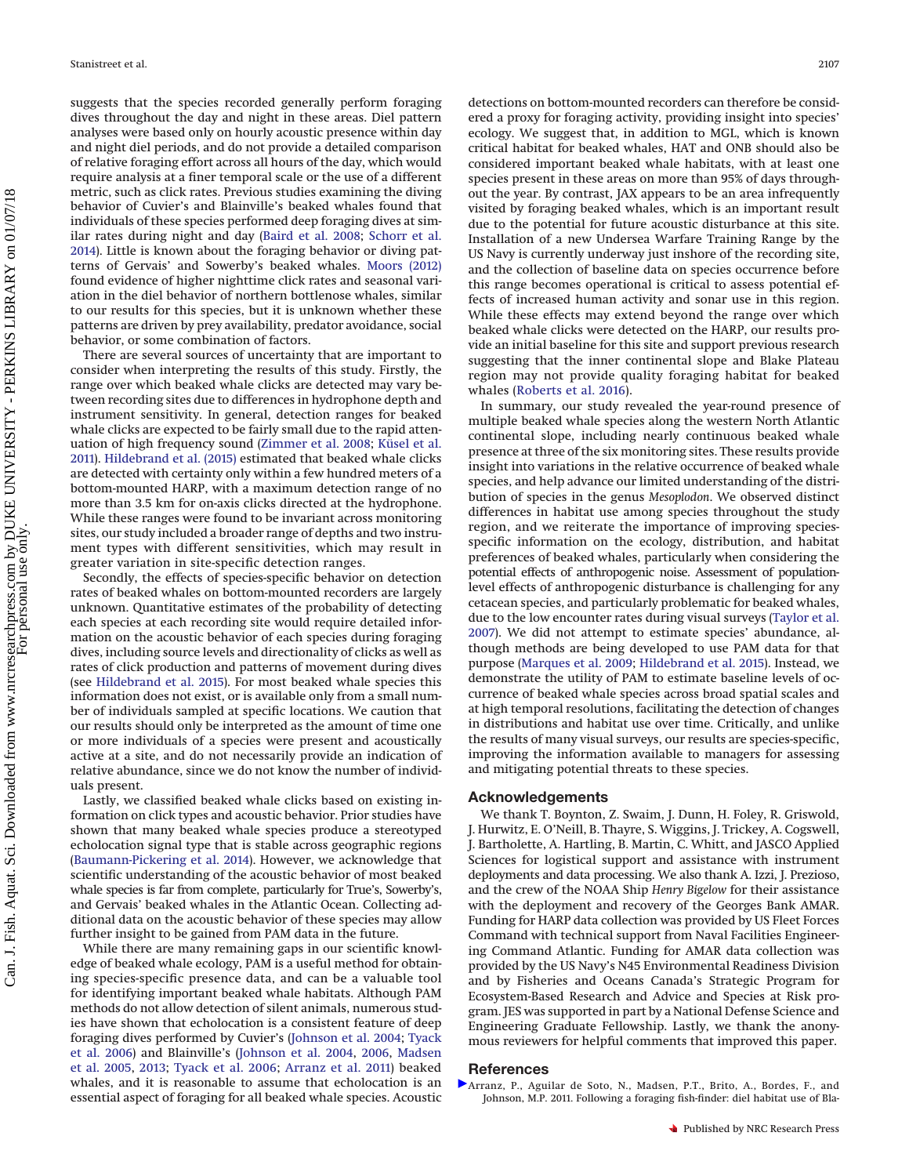suggests that the species recorded generally perform foraging dives throughout the day and night in these areas. Diel pattern analyses were based only on hourly acoustic presence within day and night diel periods, and do not provide a detailed comparison of relative foraging effort across all hours of the day, which would require analysis at a finer temporal scale or the use of a different metric, such as click rates. Previous studies examining the diving behavior of Cuvier's and Blainville's beaked whales found that individuals of these species performed deep foraging dives at similar rates during night and day [\(Baird et al. 2008;](#page-10-37) [Schorr et al.](#page-11-17) [2014\)](#page-11-17). Little is known about the foraging behavior or diving patterns of Gervais' and Sowerby's beaked whales. [Moors \(2012\)](#page-10-38) found evidence of higher nighttime click rates and seasonal variation in the diel behavior of northern bottlenose whales, similar to our results for this species, but it is unknown whether these patterns are driven by prey availability, predator avoidance, social behavior, or some combination of factors.

There are several sources of uncertainty that are important to consider when interpreting the results of this study. Firstly, the range over which beaked whale clicks are detected may vary between recording sites due to differences in hydrophone depth and instrument sensitivity. In general, detection ranges for beaked whale clicks are expected to be fairly small due to the rapid attenuation of high frequency sound [\(Zimmer et al. 2008;](#page-11-18) [Küsel et al.](#page-10-39) [2011\)](#page-10-39). [Hildebrand et al. \(2015\)](#page-10-40) estimated that beaked whale clicks are detected with certainty only within a few hundred meters of a bottom-mounted HARP, with a maximum detection range of no more than 3.5 km for on-axis clicks directed at the hydrophone. While these ranges were found to be invariant across monitoring sites, our study included a broader range of depths and two instrument types with different sensitivities, which may result in greater variation in site-specific detection ranges.

Secondly, the effects of species-specific behavior on detection rates of beaked whales on bottom-mounted recorders are largely unknown. Quantitative estimates of the probability of detecting each species at each recording site would require detailed information on the acoustic behavior of each species during foraging dives, including source levels and directionality of clicks as well as rates of click production and patterns of movement during dives (see [Hildebrand et al. 2015\)](#page-10-40). For most beaked whale species this information does not exist, or is available only from a small number of individuals sampled at specific locations. We caution that our results should only be interpreted as the amount of time one or more individuals of a species were present and acoustically active at a site, and do not necessarily provide an indication of relative abundance, since we do not know the number of individuals present.

Lastly, we classified beaked whale clicks based on existing information on click types and acoustic behavior. Prior studies have shown that many beaked whale species produce a stereotyped echolocation signal type that is stable across geographic regions [\(Baumann-Pickering et al. 2014\)](#page-10-17). However, we acknowledge that scientific understanding of the acoustic behavior of most beaked whale species is far from complete, particularly for True's, Sowerby's, and Gervais' beaked whales in the Atlantic Ocean. Collecting additional data on the acoustic behavior of these species may allow further insight to be gained from PAM data in the future.

While there are many remaining gaps in our scientific knowledge of beaked whale ecology, PAM is a useful method for obtaining species-specific presence data, and can be a valuable tool for identifying important beaked whale habitats. Although PAM methods do not allow detection of silent animals, numerous studies have shown that echolocation is a consistent feature of deep foraging dives performed by Cuvier's [\(Johnson et al. 2004;](#page-10-21) [Tyack](#page-11-3) [et al. 2006\)](#page-11-3) and Blainville's [\(Johnson et al. 2004,](#page-10-21) [2006,](#page-10-41) [Madsen](#page-10-42) [et al. 2005,](#page-10-42) [2013;](#page-10-43) [Tyack et al. 2006;](#page-11-3) [Arranz et al. 2011\)](#page-9-0) beaked whales, and it is reasonable to assume that echolocation is an essential aspect of foraging for all beaked whale species. Acoustic

detections on bottom-mounted recorders can therefore be considered a proxy for foraging activity, providing insight into species' ecology. We suggest that, in addition to MGL, which is known critical habitat for beaked whales, HAT and ONB should also be considered important beaked whale habitats, with at least one species present in these areas on more than 95% of days throughout the year. By contrast, JAX appears to be an area infrequently visited by foraging beaked whales, which is an important result due to the potential for future acoustic disturbance at this site. Installation of a new Undersea Warfare Training Range by the US Navy is currently underway just inshore of the recording site, and the collection of baseline data on species occurrence before this range becomes operational is critical to assess potential effects of increased human activity and sonar use in this region. While these effects may extend beyond the range over which beaked whale clicks were detected on the HARP, our results provide an initial baseline for this site and support previous research suggesting that the inner continental slope and Blake Plateau region may not provide quality foraging habitat for beaked whales [\(Roberts et al. 2016\)](#page-10-15).

In summary, our study revealed the year-round presence of multiple beaked whale species along the western North Atlantic continental slope, including nearly continuous beaked whale presence at three of the six monitoring sites. These results provide insight into variations in the relative occurrence of beaked whale species, and help advance our limited understanding of the distribution of species in the genus *Mesoplodon*. We observed distinct differences in habitat use among species throughout the study region, and we reiterate the importance of improving speciesspecific information on the ecology, distribution, and habitat preferences of beaked whales, particularly when considering the potential effects of anthropogenic noise. Assessment of populationlevel effects of anthropogenic disturbance is challenging for any cetacean species, and particularly problematic for beaked whales, due to the low encounter rates during visual surveys [\(Taylor et al.](#page-11-19) [2007\)](#page-11-19). We did not attempt to estimate species' abundance, although methods are being developed to use PAM data for that purpose [\(Marques et al. 2009;](#page-10-44) [Hildebrand et al. 2015\)](#page-10-40). Instead, we demonstrate the utility of PAM to estimate baseline levels of occurrence of beaked whale species across broad spatial scales and at high temporal resolutions, facilitating the detection of changes in distributions and habitat use over time. Critically, and unlike the results of many visual surveys, our results are species-specific, improving the information available to managers for assessing and mitigating potential threats to these species.

## **Acknowledgements**

We thank T. Boynton, Z. Swaim, J. Dunn, H. Foley, R. Griswold, J. Hurwitz, E. O'Neill, B. Thayre, S. Wiggins, J. Trickey, A. Cogswell, J. Bartholette, A. Hartling, B. Martin, C. Whitt, and JASCO Applied Sciences for logistical support and assistance with instrument deployments and data processing. We also thank A. Izzi, J. Prezioso, and the crew of the NOAA Ship *Henry Bigelow* for their assistance with the deployment and recovery of the Georges Bank AMAR. Funding for HARP data collection was provided by US Fleet Forces Command with technical support from Naval Facilities Engineering Command Atlantic. Funding for AMAR data collection was provided by the US Navy's N45 Environmental Readiness Division and by Fisheries and Oceans Canada's Strategic Program for Ecosystem-Based Research and Advice and Species at Risk program. JES was supported in part by a National Defense Science and Engineering Graduate Fellowship. Lastly, we thank the anonymous reviewers for helpful comments that improved this paper.

# **References**

<span id="page-9-0"></span>[A](http://www.nrcresearchpress.com/action/showLinks?doi=10.1139%2Fcjfas-2016-0503&pmid=22163295&crossref=10.1371%2Fjournal.pone.0028353&citationId=p_1_1)rranz, P., Aguilar de Soto, N., Madsen, P.T., Brito, A., Bordes, F., and Johnson, M.P. 2011. Following a foraging fish-finder: diel habitat use of Bla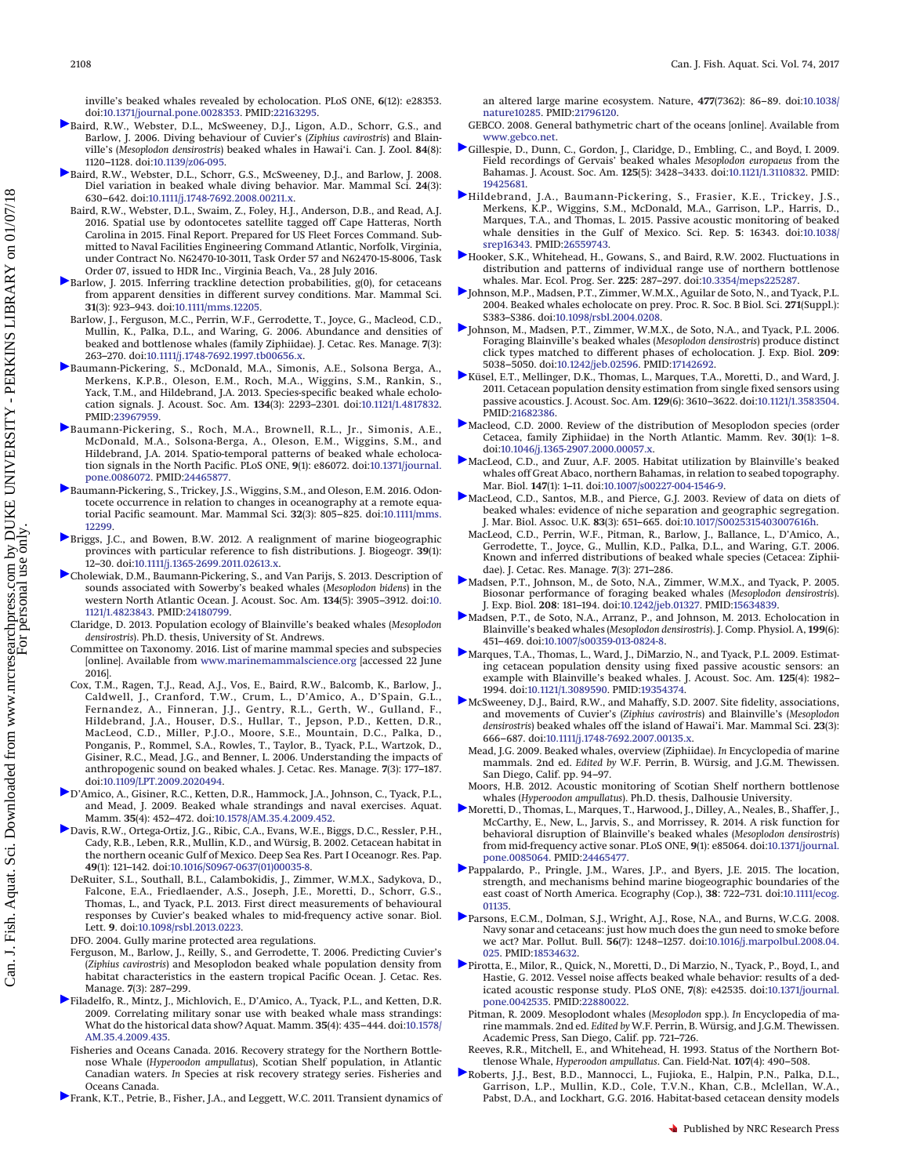inville's beaked whales revealed by echolocation. PLoS ONE, **6**(12): e28353. doi[:10.1371/journal.pone.0028353.](http://dx.doi.org/10.1371/journal.pone.0028353) PMID[:22163295.](http://www.ncbi.nlm.nih.gov/pubmed/22163295)

- <span id="page-10-9"></span>[B](http://www.nrcresearchpress.com/action/showLinks?doi=10.1139%2Fcjfas-2016-0503&system=10.1139%2Fz06-095&isi=000241526400007&citationId=p_2_1)aird, R.W., Webster, D.L., McSweeney, D.J., Ligon, A.D., Schorr, G.S., and Barlow, J. 2006. Diving behaviour of Cuvier's (*Ziphius cavirostris*) and Blainville's (*Mesoplodon densirostris*) beaked whales in Hawai'i. Can. J. Zool. **84**(8): 1120–1128. doi[:10.1139/z06-095.](http://dx.doi.org/10.1139/z06-095)
- <span id="page-10-37"></span>[B](http://www.nrcresearchpress.com/action/showLinks?doi=10.1139%2Fcjfas-2016-0503&crossref=10.1111%2Fj.1748-7692.2008.00211.x&citationId=p_3_1)aird, R.W., Webster, D.L., Schorr, G.S., McSweeney, D.J., and Barlow, J. 2008. Diel variation in beaked whale diving behavior. Mar. Mammal Sci. **24**(3): 630–642. doi[:10.1111/j.1748-7692.2008.00211.x.](http://dx.doi.org/10.1111/j.1748-7692.2008.00211.x)
- <span id="page-10-36"></span>Baird, R.W., Webster, D.L., Swaim, Z., Foley, H.J., Anderson, D.B., and Read, A.J. 2016. Spatial use by odontocetes satellite tagged off Cape Hatteras, North Carolina in 2015. Final Report. Prepared for US Fleet Forces Command. Submitted to Naval Facilities Engineering Command Atlantic, Norfolk, Virginia, under Contract No. N62470-10-3011, Task Order 57 and N62470-15-8006, Task Order 07, issued to HDR Inc., Virginia Beach, Va., 28 July 2016.
- <span id="page-10-10"></span>[B](http://www.nrcresearchpress.com/action/showLinks?doi=10.1139%2Fcjfas-2016-0503&crossref=10.1111%2Fmms.12205&citationId=p_5_1)arlow, J. 2015. Inferring trackline detection probabilities, g(0), for cetaceans from apparent densities in different survey conditions. Mar. Mammal Sci. **31**(3): 923–943. doi[:10.1111/mms.12205.](http://dx.doi.org/10.1111/mms.12205)
- <span id="page-10-29"></span>Barlow, J., Ferguson, M.C., Perrin, W.F., Gerrodette, T., Joyce, G., Macleod, C.D., Mullin, K., Palka, D.L., and Waring, G. 2006. Abundance and densities of beaked and bottlenose whales (family Ziphiidae). J. Cetac. Res. Manage. **7**(3): 263–270. doi[:10.1111/j.1748-7692.1997.tb00656.x.](http://dx.doi.org/10.1111/j.1748-7692.1997.tb00656.x)
- <span id="page-10-16"></span>[B](http://www.nrcresearchpress.com/action/showLinks?doi=10.1139%2Fcjfas-2016-0503&pmid=23967959&crossref=10.1121%2F1.4817832&citationId=p_7_1)aumann-Pickering, S., McDonald, M.A., Simonis, A.E., Solsona Berga, A., Merkens, K.P.B., Oleson, E.M., Roch, M.A., Wiggins, S.M., Rankin, S., Yack, T.M., and Hildebrand, J.A. 2013. Species-specific beaked whale echolocation signals. J. Acoust. Soc. Am. **134**(3): 2293–2301. doi[:10.1121/1.4817832.](http://dx.doi.org/10.1121/1.4817832) PMID[:23967959.](http://www.ncbi.nlm.nih.gov/pubmed/23967959)
- <span id="page-10-17"></span>[B](http://www.nrcresearchpress.com/action/showLinks?doi=10.1139%2Fcjfas-2016-0503&pmid=24465877&crossref=10.1371%2Fjournal.pone.0086072&citationId=p_8_1)aumann-Pickering, S., Roch, M.A., Brownell, R.L., Jr., Simonis, A.E., McDonald, M.A., Solsona-Berga, A., Oleson, E.M., Wiggins, S.M., and Hildebrand, J.A. 2014. Spatio-temporal patterns of beaked whale echolocation signals in the North Pacific. PLoS ONE, **9**(1): e86072. doi[:10.1371/journal.](http://dx.doi.org/10.1371/journal.pone.0086072) [pone.0086072.](http://dx.doi.org/10.1371/journal.pone.0086072) PMID[:24465877.](http://www.ncbi.nlm.nih.gov/pubmed/24465877)
- <span id="page-10-20"></span>[B](http://www.nrcresearchpress.com/action/showLinks?doi=10.1139%2Fcjfas-2016-0503&crossref=10.1111%2Fmms.12299&citationId=p_9_1)aumann-Pickering, S., Trickey, J.S., Wiggins, S.M., and Oleson, E.M. 2016. Odontocete occurrence in relation to changes in oceanography at a remote equatorial Pacific seamount. Mar. Mammal Sci. **32**(3): 805–825. doi[:10.1111/mms.](http://dx.doi.org/10.1111/mms.12299) [12299.](http://dx.doi.org/10.1111/mms.12299)
- <span id="page-10-30"></span>[B](http://www.nrcresearchpress.com/action/showLinks?doi=10.1139%2Fcjfas-2016-0503&crossref=10.1111%2Fj.1365-2699.2011.02613.x&citationId=p_10_1)riggs, J.C., and Bowen, B.W. 2012. A realignment of marine biogeographic provinces with particular reference to fish distributions. J. Biogeogr. **39**(1): 12–30. doi[:10.1111/j.1365-2699.2011.02613.x.](http://dx.doi.org/10.1111/j.1365-2699.2011.02613.x)
- <span id="page-10-23"></span>[C](http://www.nrcresearchpress.com/action/showLinks?doi=10.1139%2Fcjfas-2016-0503&pmid=24180799&crossref=10.1121%2F1.4823843&citationId=p_11_1)holewiak, D.M., Baumann-Pickering, S., and Van Parijs, S. 2013. Description of sounds associated with Sowerby's beaked whales (*Mesoplodon bidens*) in the western North Atlantic Ocean. J. Acoust. Soc. Am. **134**(5): 3905–3912. doi[:10.](http://dx.doi.org/10.1121/1.4823843) [1121/1.4823843.](http://dx.doi.org/10.1121/1.4823843) PMID[:24180799.](http://www.ncbi.nlm.nih.gov/pubmed/24180799)
- <span id="page-10-34"></span>Claridge, D. 2013. Population ecology of Blainville's beaked whales (*Mesoplodon densirostris*). Ph.D. thesis, University of St. Andrews.
- <span id="page-10-0"></span>Committee on Taxonomy. 2016. List of marine mammal species and subspecies [online]. Available from [www.marinemammalscience.org](http://www.marinemammalscience.org) [accessed 22 June 2016].
- <span id="page-10-1"></span>Cox, T.M., Ragen, T.J., Read, A.J., Vos, E., Baird, R.W., Balcomb, K., Barlow, J., Caldwell, J., Cranford, T.W., Crum, L., D'Amico, A., D'Spain, G.L., Fernandez, A., Finneran, J.J., Gentry, R.L., Gerth, W., Gulland, F., Hildebrand, J.A., Houser, D.S., Hullar, T., Jepson, P.D., Ketten, D.R., MacLeod, C.D., Miller, P.J.O., Moore, S.E., Mountain, D.C., Palka, D., Ponganis, P., Rommel, S.A., Rowles, T., Taylor, B., Tyack, P.L., Wartzok, D., Gisiner, R.C., Mead, J.G., and Benner, L. 2006. Understanding the impacts of anthropogenic sound on beaked whales. J. Cetac. Res. Manage. **7**(3): 177–187. doi[:10.1109/LPT.2009.2020494.](http://dx.doi.org/10.1109/LPT.2009.2020494)
- <span id="page-10-2"></span>[D](http://www.nrcresearchpress.com/action/showLinks?doi=10.1139%2Fcjfas-2016-0503&crossref=10.1578%2FAM.35.4.2009.452&citationId=p_15_1)'Amico, A., Gisiner, R.C., Ketten, D.R., Hammock, J.A., Johnson, C., Tyack, P.L., and Mead, J. 2009. Beaked whale strandings and naval exercises. Aquat. Mamm. **35**(4): 452–472. doi[:10.1578/AM.35.4.2009.452.](http://dx.doi.org/10.1578/AM.35.4.2009.452)
- <span id="page-10-13"></span><span id="page-10-6"></span>[D](http://www.nrcresearchpress.com/action/showLinks?doi=10.1139%2Fcjfas-2016-0503&crossref=10.1016%2FS0967-0637%2801%2900035-8&citationId=p_16_1)avis, R.W., Ortega-Ortiz, J.G., Ribic, C.A., Evans, W.E., Biggs, D.C., Ressler, P.H., Cady, R.B., Leben, R.R., Mullin, K.D., and Würsig, B. 2002. Cetacean habitat in the northern oceanic Gulf of Mexico. Deep Sea Res. Part I Oceanogr. Res. Pap. **49**(1): 121–142. doi[:10.1016/S0967-0637\(01\)00035-8.](http://dx.doi.org/10.1016/S0967-0637(01)00035-8)
	- DeRuiter, S.L., Southall, B.L., Calambokidis, J., Zimmer, W.M.X., Sadykova, D., Falcone, E.A., Friedlaender, A.S., Joseph, J.E., Moretti, D., Schorr, G.S., Thomas, L., and Tyack, P.L. 2013. First direct measurements of behavioural responses by Cuvier's beaked whales to mid-frequency active sonar. Biol. Lett. **9**. doi[:10.1098/rsbl.2013.0223.](http://dx.doi.org/10.1098/rsbl.2013.0223)
	- DFO. 2004. Gully marine protected area regulations.
	- Ferguson, M., Barlow, J., Reilly, S., and Gerrodette, T. 2006. Predicting Cuvier's (*Ziphius cavirostris*) and Mesoplodon beaked whale population density from habitat characteristics in the eastern tropical Pacific Ocean. J. Cetac. Res. Manage. **7**(3): 287–299.
- <span id="page-10-26"></span><span id="page-10-25"></span><span id="page-10-14"></span><span id="page-10-3"></span>[F](http://www.nrcresearchpress.com/action/showLinks?doi=10.1139%2Fcjfas-2016-0503&crossref=10.1578%2FAM.35.4.2009.435&citationId=p_20_1)iladelfo, R., Mintz, J., Michlovich, E., D'Amico, A., Tyack, P.L., and Ketten, D.R. 2009. Correlating military sonar use with beaked whale mass strandings: What do the historical data show? Aquat. Mamm. **35**(4): 435–444. doi[:10.1578/](http://dx.doi.org/10.1578/AM.35.4.2009.435) [AM.35.4.2009.435.](http://dx.doi.org/10.1578/AM.35.4.2009.435)
	- Fisheries and Oceans Canada. 2016. Recovery strategy for the Northern Bottlenose Whale (*Hyperoodon ampullatus*), Scotian Shelf population, in Atlantic Canadian waters. *In* Species at risk recovery strategy series. Fisheries and Oceans Canada.
- <span id="page-10-27"></span>[F](http://www.nrcresearchpress.com/action/showLinks?doi=10.1139%2Fcjfas-2016-0503&pmid=21796120&crossref=10.1038%2Fnature10285&citationId=p_22_1)rank, K.T., Petrie, B., Fisher, J.A., and Leggett, W.C. 2011. Transient dynamics of

an altered large marine ecosystem. Nature, **477**(7362): 86–89. doi[:10.1038/](http://dx.doi.org/10.1038/nature10285) [nature10285.](http://dx.doi.org/10.1038/nature10285) PMID[:21796120.](http://www.ncbi.nlm.nih.gov/pubmed/21796120)

- <span id="page-10-19"></span>GEBCO. 2008. General bathymetric chart of the oceans [online]. Available from [www.gebco.net.](http://www.gebco.net)
- <span id="page-10-22"></span>[G](http://www.nrcresearchpress.com/action/showLinks?doi=10.1139%2Fcjfas-2016-0503&pmid=19425681&crossref=10.1121%2F1.3110832&citationId=p_24_1)illespie, D., Dunn, C., Gordon, J., Claridge, D., Embling, C., and Boyd, I. 2009. Field recordings of Gervais' beaked whales *Mesoplodon europaeus* from the Bahamas. J. Acoust. Soc. Am. **125**(5): 3428–3433. doi[:10.1121/1.3110832.](http://dx.doi.org/10.1121/1.3110832) PMID: [19425681.](http://www.ncbi.nlm.nih.gov/pubmed/19425681)
- <span id="page-10-40"></span>[H](http://www.nrcresearchpress.com/action/showLinks?doi=10.1139%2Fcjfas-2016-0503&pmid=26559743&crossref=10.1038%2Fsrep16343&citationId=p_25_1)ildebrand, J.A., Baumann-Pickering, S., Frasier, K.E., Trickey, J.S., Merkens, K.P., Wiggins, S.M., McDonald, M.A., Garrison, L.P., Harris, D., Marques, T.A., and Thomas, L. 2015. Passive acoustic monitoring of beaked whale densities in the Gulf of Mexico. Sci. Rep. **5**: 16343. doi[:10.1038/](http://dx.doi.org/10.1038/srep16343) [srep16343.](http://dx.doi.org/10.1038/srep16343) PMID[:26559743.](http://www.ncbi.nlm.nih.gov/pubmed/26559743)
- <span id="page-10-35"></span>[H](http://www.nrcresearchpress.com/action/showLinks?doi=10.1139%2Fcjfas-2016-0503&crossref=10.3354%2Fmeps225287&isi=000173878400025&citationId=p_26_1)ooker, S.K., Whitehead, H., Gowans, S., and Baird, R.W. 2002. Fluctuations in distribution and patterns of individual range use of northern bottlenose whales. Mar. Ecol. Prog. Ser. **225**: 287–297. doi[:10.3354/meps225287.](http://dx.doi.org/10.3354/meps225287)
- <span id="page-10-21"></span>[J](http://www.nrcresearchpress.com/action/showLinks?doi=10.1139%2Fcjfas-2016-0503&crossref=10.1098%2Frsbl.2004.0208&citationId=p_27_1)ohnson, M.P., Madsen, P.T., Zimmer, W.M.X., Aguilar de Soto, N., and Tyack, P.L. 2004. Beaked whales echolocate on prey. Proc. R. Soc. B Biol. Sci. **271**(Suppl.): S383–S386. doi[:10.1098/rsbl.2004.0208.](http://dx.doi.org/10.1098/rsbl.2004.0208)
- <span id="page-10-41"></span>[J](http://www.nrcresearchpress.com/action/showLinks?doi=10.1139%2Fcjfas-2016-0503&pmid=17142692&crossref=10.1242%2Fjeb.02596&citationId=p_28_1)ohnson, M., Madsen, P.T., Zimmer, W.M.X., de Soto, N.A., and Tyack, P.L. 2006. Foraging Blainville's beaked whales (*Mesoplodon densirostris*) produce distinct click types matched to different phases of echolocation. J. Exp. Biol. **209**: 5038–5050. doi[:10.1242/jeb.02596.](http://dx.doi.org/10.1242/jeb.02596) PMID[:17142692.](http://www.ncbi.nlm.nih.gov/pubmed/17142692)
- <span id="page-10-39"></span>[K](http://www.nrcresearchpress.com/action/showLinks?doi=10.1139%2Fcjfas-2016-0503&pmid=21682386&crossref=10.1121%2F1.3583504&citationId=p_29_1)üsel, E.T., Mellinger, D.K., Thomas, L., Marques, T.A., Moretti, D., and Ward, J. 2011. Cetacean population density estimation from single fixed sensors using passive acoustics. J. Acoust. Soc. Am. **129**(6): 3610–3622. doi[:10.1121/1.3583504.](http://dx.doi.org/10.1121/1.3583504) PMID[:21682386.](http://www.ncbi.nlm.nih.gov/pubmed/21682386)
- <span id="page-10-18"></span>[M](http://www.nrcresearchpress.com/action/showLinks?doi=10.1139%2Fcjfas-2016-0503&crossref=10.1046%2Fj.1365-2907.2000.00057.x&citationId=p_30_1)acleod, C.D. 2000. Review of the distribution of Mesoplodon species (order Cetacea, family Ziphiidae) in the North Atlantic. Mamm. Rev. **30**(1): 1–8. doi[:10.1046/j.1365-2907.2000.00057.x.](http://dx.doi.org/10.1046/j.1365-2907.2000.00057.x)
- <span id="page-10-32"></span>[M](http://www.nrcresearchpress.com/action/showLinks?doi=10.1139%2Fcjfas-2016-0503&crossref=10.1007%2Fs00227-004-1546-9&citationId=p_31_1)acLeod, C.D., and Zuur, A.F. 2005. Habitat utilization by Blainville's beaked whales off Great Abaco, northern Bahamas, in relation to seabed topography. Mar. Biol. **147**(1): 1–11. doi[:10.1007/s00227-004-1546-9.](http://dx.doi.org/10.1007/s00227-004-1546-9)
- <span id="page-10-24"></span>[M](http://www.nrcresearchpress.com/action/showLinks?doi=10.1139%2Fcjfas-2016-0503&crossref=10.1017%2FS0025315403007616h&citationId=p_32_1)acLeod, C.D., Santos, M.B., and Pierce, G.J. 2003. Review of data on diets of beaked whales: evidence of niche separation and geographic segregation. J. Mar. Biol. Assoc. U.K. **83**(3): 651–665. doi[:10.1017/S0025315403007616h.](http://dx.doi.org/10.1017/S0025315403007616h)
- <span id="page-10-11"></span>MacLeod, C.D., Perrin, W.F., Pitman, R., Barlow, J., Ballance, L., D'Amico, A., Gerrodette, T., Joyce, G., Mullin, K.D., Palka, D.L., and Waring, G.T. 2006. Known and inferred distributions of beaked whale species (Cetacea: Ziphiidae). J. Cetac. Res. Manage. **7**(3): 271–286.
- <span id="page-10-42"></span>[M](http://www.nrcresearchpress.com/action/showLinks?doi=10.1139%2Fcjfas-2016-0503&pmid=15634839&crossref=10.1242%2Fjeb.01327&citationId=p_34_1)adsen, P.T., Johnson, M., de Soto, N.A., Zimmer, W.M.X., and Tyack, P. 2005. Biosonar performance of foraging beaked whales (*Mesoplodon densirostris*). J. Exp. Biol. **208**: 181–194. doi[:10.1242/jeb.01327.](http://dx.doi.org/10.1242/jeb.01327) PMID[:15634839.](http://www.ncbi.nlm.nih.gov/pubmed/15634839)
- <span id="page-10-43"></span>[M](http://www.nrcresearchpress.com/action/showLinks?doi=10.1139%2Fcjfas-2016-0503&crossref=10.1007%2Fs00359-013-0824-8&citationId=p_35_1)adsen, P.T., de Soto, N.A., Arranz, P., and Johnson, M. 2013. Echolocation in Blainville's beaked whales (*Mesoplodon densirostris*). J. Comp. Physiol. A, **199**(6): 451–469. doi[:10.1007/s00359-013-0824-8.](http://dx.doi.org/10.1007/s00359-013-0824-8)
- <span id="page-10-44"></span>[M](http://www.nrcresearchpress.com/action/showLinks?doi=10.1139%2Fcjfas-2016-0503&pmid=19354374&crossref=10.1121%2F1.3089590&citationId=p_36_1)arques, T.A., Thomas, L., Ward, J., DiMarzio, N., and Tyack, P.L. 2009. Estimating cetacean population density using fixed passive acoustic sensors: an example with Blainville's beaked whales. J. Acoust. Soc. Am. **125**(4): 1982– 1994. doi[:10.1121/1.3089590.](http://dx.doi.org/10.1121/1.3089590) PMID[:19354374.](http://www.ncbi.nlm.nih.gov/pubmed/19354374)
- <span id="page-10-33"></span>[M](http://www.nrcresearchpress.com/action/showLinks?doi=10.1139%2Fcjfas-2016-0503&crossref=10.1111%2Fj.1748-7692.2007.00135.x&citationId=p_37_1)cSweeney, D.J., Baird, R.W., and Mahaffy, S.D. 2007. Site fidelity, associations, and movements of Cuvier's (*Ziphius cavirostris*) and Blainville's (*Mesoplodon densirostris*) beaked whales off the island of Hawai'i. Mar. Mammal Sci. **23**(3): 666–687. doi[:10.1111/j.1748-7692.2007.00135.x.](http://dx.doi.org/10.1111/j.1748-7692.2007.00135.x)
- <span id="page-10-8"></span>Mead, J.G. 2009. Beaked whales, overview (Ziphiidae). *In* Encyclopedia of marine mammals. 2nd ed. *Edited by* W.F. Perrin, B. Würsig, and J.G.M. Thewissen. San Diego, Calif. pp. 94–97.
- <span id="page-10-38"></span>Moors, H.B. 2012. Acoustic monitoring of Scotian Shelf northern bottlenose whales (*Hyperoodon ampullatus*). Ph.D. thesis, Dalhousie University.
- <span id="page-10-7"></span>[M](http://www.nrcresearchpress.com/action/showLinks?doi=10.1139%2Fcjfas-2016-0503&pmid=24465477&crossref=10.1371%2Fjournal.pone.0085064&citationId=p_40_1)oretti, D., Thomas, L., Marques, T., Harwood, J., Dilley, A., Neales, B., Shaffer, J., McCarthy, E., New, L., Jarvis, S., and Morrissey, R. 2014. A risk function for behavioral disruption of Blainville's beaked whales (*Mesoplodon densirostris*) from mid-frequency active sonar. PLoS ONE, **9**(1): e85064. doi[:10.1371/journal.](http://dx.doi.org/10.1371/journal.pone.0085064) [pone.0085064.](http://dx.doi.org/10.1371/journal.pone.0085064) PMID[:24465477.](http://www.ncbi.nlm.nih.gov/pubmed/24465477)
- <span id="page-10-31"></span>[P](http://www.nrcresearchpress.com/action/showLinks?doi=10.1139%2Fcjfas-2016-0503&crossref=10.1111%2Fecog.01135&citationId=p_41_1)appalardo, P., Pringle, J.M., Wares, J.P., and Byers, J.E. 2015. The location, strength, and mechanisms behind marine biogeographic boundaries of the east coast of North America. Ecography (Cop.), **38**: 722–731. doi[:10.1111/ecog.](http://dx.doi.org/10.1111/ecog.01135) [01135.](http://dx.doi.org/10.1111/ecog.01135)
- <span id="page-10-4"></span>[P](http://www.nrcresearchpress.com/action/showLinks?doi=10.1139%2Fcjfas-2016-0503&pmid=18534632&crossref=10.1016%2Fj.marpolbul.2008.04.025&citationId=p_42_1)arsons, E.C.M., Dolman, S.J., Wright, A.J., Rose, N.A., and Burns, W.C.G. 2008. Navy sonar and cetaceans: just how much does the gun need to smoke before we act? Mar. Pollut. Bull. **56**(7): 1248–1257. doi[:10.1016/j.marpolbul.2008.04.](http://dx.doi.org/10.1016/j.marpolbul.2008.04.025) [025.](http://dx.doi.org/10.1016/j.marpolbul.2008.04.025) PMID[:18534632.](http://www.ncbi.nlm.nih.gov/pubmed/18534632)
- <span id="page-10-12"></span><span id="page-10-5"></span>[P](http://www.nrcresearchpress.com/action/showLinks?doi=10.1139%2Fcjfas-2016-0503&pmid=22880022&crossref=10.1371%2Fjournal.pone.0042535&citationId=p_43_1)irotta, E., Milor, R., Quick, N., Moretti, D., Di Marzio, N., Tyack, P., Boyd, I., and Hastie, G. 2012. Vessel noise affects beaked whale behavior: results of a dedicated acoustic response study. PLoS ONE, **7**(8): e42535. doi[:10.1371/journal.](http://dx.doi.org/10.1371/journal.pone.0042535) [pone.0042535.](http://dx.doi.org/10.1371/journal.pone.0042535) PMID[:22880022.](http://www.ncbi.nlm.nih.gov/pubmed/22880022)
	- Pitman, R. 2009. Mesoplodont whales (*Mesoplodon* spp.). *In* Encyclopedia of marine mammals. 2nd ed. *Edited by* W.F. Perrin, B. Würsig, and J.G.M. Thewissen. Academic Press, San Diego, Calif. pp. 721–726.
- <span id="page-10-28"></span>Reeves, R.R., Mitchell, E., and Whitehead, H. 1993. Status of the Northern Bottlenose Whale, *Hyperoodon ampullatus*. Can. Field-Nat. **107**(4): 490–508.
- <span id="page-10-15"></span>[R](http://www.nrcresearchpress.com/action/showLinks?doi=10.1139%2Fcjfas-2016-0503&pmid=26936335&crossref=10.1038%2Fsrep22615&citationId=p_46_1)oberts, J.J., Best, B.D., Mannocci, L., Fujioka, E., Halpin, P.N., Palka, D.L., Garrison, L.P., Mullin, K.D., Cole, T.V.N., Khan, C.B., Mclellan, W.A., Pabst, D.A., and Lockhart, G.G. 2016. Habitat-based cetacean density models